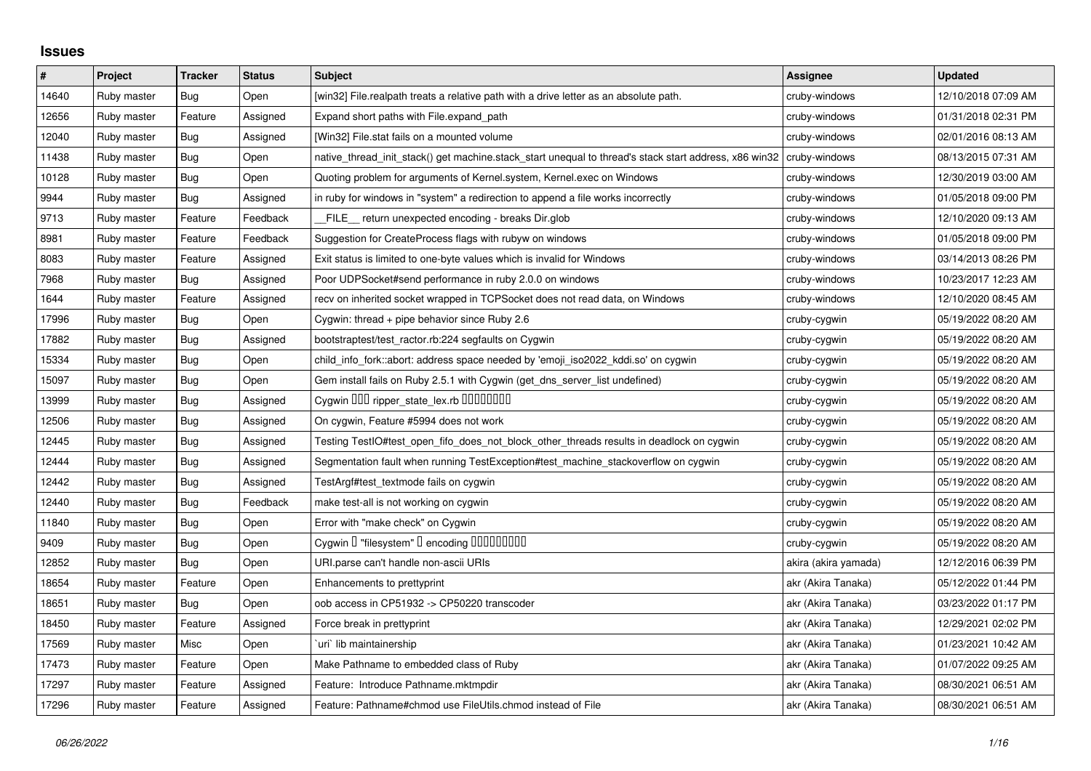## **Issues**

| $\#$  | Project     | <b>Tracker</b> | <b>Status</b> | <b>Subject</b>                                                                                                      | <b>Assignee</b>      | <b>Updated</b>      |
|-------|-------------|----------------|---------------|---------------------------------------------------------------------------------------------------------------------|----------------------|---------------------|
| 14640 | Ruby master | Bug            | Open          | [win32] File.realpath treats a relative path with a drive letter as an absolute path.                               | cruby-windows        | 12/10/2018 07:09 AM |
| 12656 | Ruby master | Feature        | Assigned      | Expand short paths with File.expand_path                                                                            | cruby-windows        | 01/31/2018 02:31 PM |
| 12040 | Ruby master | Bug            | Assigned      | [Win32] File.stat fails on a mounted volume                                                                         | cruby-windows        | 02/01/2016 08:13 AM |
| 11438 | Ruby master | Bug            | Open          | native thread init stack() get machine stack start unequal to thread's stack start address, x86 win32 cruby-windows |                      | 08/13/2015 07:31 AM |
| 10128 | Ruby master | Bug            | Open          | Quoting problem for arguments of Kernel.system, Kernel.exec on Windows                                              | cruby-windows        | 12/30/2019 03:00 AM |
| 9944  | Ruby master | Bug            | Assigned      | in ruby for windows in "system" a redirection to append a file works incorrectly                                    | cruby-windows        | 01/05/2018 09:00 PM |
| 9713  | Ruby master | Feature        | Feedback      | FILE return unexpected encoding - breaks Dir.glob                                                                   | cruby-windows        | 12/10/2020 09:13 AM |
| 8981  | Ruby master | Feature        | Feedback      | Suggestion for CreateProcess flags with rubyw on windows                                                            | cruby-windows        | 01/05/2018 09:00 PM |
| 8083  | Ruby master | Feature        | Assigned      | Exit status is limited to one-byte values which is invalid for Windows                                              | cruby-windows        | 03/14/2013 08:26 PM |
| 7968  | Ruby master | <b>Bug</b>     | Assigned      | Poor UDPSocket#send performance in ruby 2.0.0 on windows                                                            | cruby-windows        | 10/23/2017 12:23 AM |
| 1644  | Ruby master | Feature        | Assigned      | recv on inherited socket wrapped in TCPSocket does not read data, on Windows                                        | cruby-windows        | 12/10/2020 08:45 AM |
| 17996 | Ruby master | Bug            | Open          | Cygwin: thread $+$ pipe behavior since Ruby 2.6                                                                     | cruby-cygwin         | 05/19/2022 08:20 AM |
| 17882 | Ruby master | Bug            | Assigned      | bootstraptest/test_ractor.rb:224 segfaults on Cygwin                                                                | cruby-cygwin         | 05/19/2022 08:20 AM |
| 15334 | Ruby master | Bug            | Open          | child_info_fork::abort: address space needed by 'emoji_iso2022_kddi.so' on cygwin                                   | cruby-cygwin         | 05/19/2022 08:20 AM |
| 15097 | Ruby master | <b>Bug</b>     | Open          | Gem install fails on Ruby 2.5.1 with Cygwin (get_dns_server_list undefined)                                         | cruby-cygwin         | 05/19/2022 08:20 AM |
| 13999 | Ruby master | <b>Bug</b>     | Assigned      | Cygwin DDD ripper_state_lex.rb DDDDDDD                                                                              | cruby-cygwin         | 05/19/2022 08:20 AM |
| 12506 | Ruby master | Bug            | Assigned      | On cygwin, Feature #5994 does not work                                                                              | cruby-cygwin         | 05/19/2022 08:20 AM |
| 12445 | Ruby master | <b>Bug</b>     | Assigned      | Testing TestIO#test_open_fifo_does_not_block_other_threads results in deadlock on cygwin                            | cruby-cygwin         | 05/19/2022 08:20 AM |
| 12444 | Ruby master | <b>Bug</b>     | Assigned      | Segmentation fault when running TestException#test_machine_stackoverflow on cygwin                                  | cruby-cygwin         | 05/19/2022 08:20 AM |
| 12442 | Ruby master | Bug            | Assigned      | TestArgf#test_textmode fails on cygwin                                                                              | cruby-cygwin         | 05/19/2022 08:20 AM |
| 12440 | Ruby master | Bug            | Feedback      | make test-all is not working on cygwin                                                                              | cruby-cygwin         | 05/19/2022 08:20 AM |
| 11840 | Ruby master | <b>Bug</b>     | Open          | Error with "make check" on Cygwin                                                                                   | cruby-cygwin         | 05/19/2022 08:20 AM |
| 9409  | Ruby master | Bug            | Open          | Cygwin I "filesystem" I encoding IIIIIIIIIIIII                                                                      | cruby-cygwin         | 05/19/2022 08:20 AM |
| 12852 | Ruby master | <b>Bug</b>     | Open          | URI.parse can't handle non-ascii URIs                                                                               | akira (akira yamada) | 12/12/2016 06:39 PM |
| 18654 | Ruby master | Feature        | Open          | Enhancements to prettyprint                                                                                         | akr (Akira Tanaka)   | 05/12/2022 01:44 PM |
| 18651 | Ruby master | Bug            | Open          | oob access in CP51932 -> CP50220 transcoder                                                                         | akr (Akira Tanaka)   | 03/23/2022 01:17 PM |
| 18450 | Ruby master | Feature        | Assigned      | Force break in prettyprint                                                                                          | akr (Akira Tanaka)   | 12/29/2021 02:02 PM |
| 17569 | Ruby master | Misc           | Open          | uri lib maintainership                                                                                              | akr (Akira Tanaka)   | 01/23/2021 10:42 AM |
| 17473 | Ruby master | Feature        | Open          | Make Pathname to embedded class of Ruby                                                                             | akr (Akira Tanaka)   | 01/07/2022 09:25 AM |
| 17297 | Ruby master | Feature        | Assigned      | Feature: Introduce Pathname.mktmpdir                                                                                | akr (Akira Tanaka)   | 08/30/2021 06:51 AM |
| 17296 | Ruby master | Feature        | Assigned      | Feature: Pathname#chmod use FileUtils.chmod instead of File                                                         | akr (Akira Tanaka)   | 08/30/2021 06:51 AM |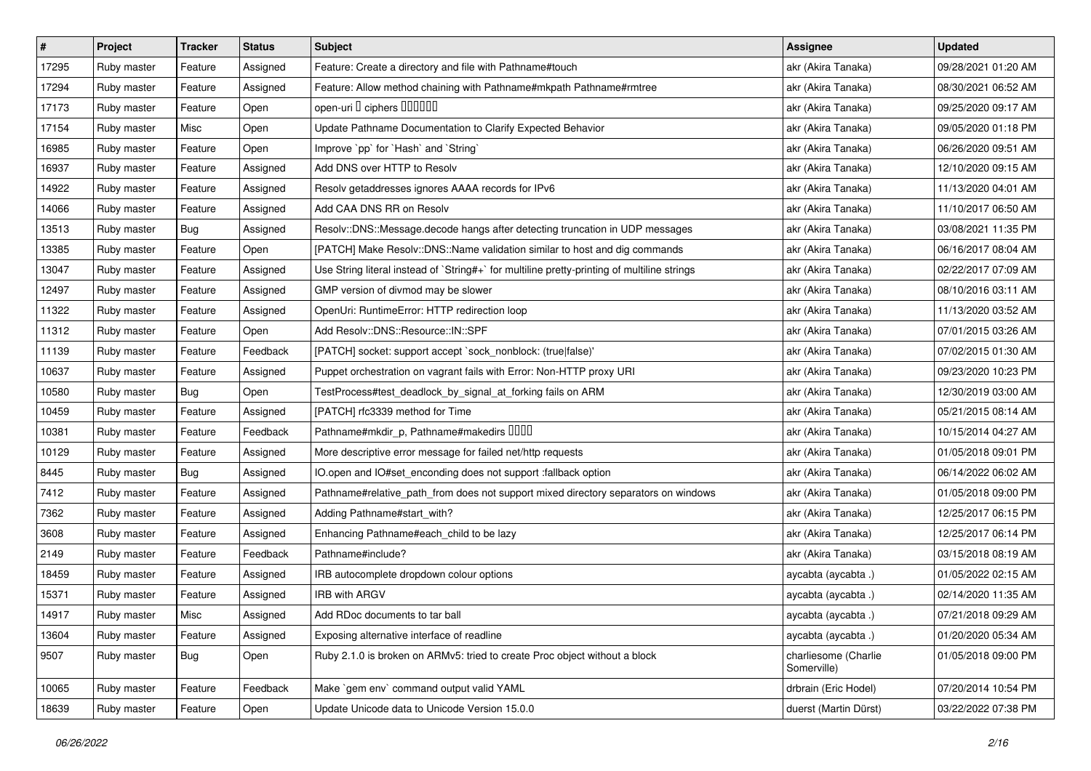| $\sharp$ | Project     | <b>Tracker</b> | <b>Status</b> | <b>Subject</b>                                                                              | <b>Assignee</b>                     | <b>Updated</b>      |
|----------|-------------|----------------|---------------|---------------------------------------------------------------------------------------------|-------------------------------------|---------------------|
| 17295    | Ruby master | Feature        | Assigned      | Feature: Create a directory and file with Pathname#touch                                    | akr (Akira Tanaka)                  | 09/28/2021 01:20 AM |
| 17294    | Ruby master | Feature        | Assigned      | Feature: Allow method chaining with Pathname#mkpath Pathname#rmtree                         | akr (Akira Tanaka)                  | 08/30/2021 06:52 AM |
| 17173    | Ruby master | Feature        | Open          | open-uri D ciphers DOODOO                                                                   | akr (Akira Tanaka)                  | 09/25/2020 09:17 AM |
| 17154    | Ruby master | Misc           | Open          | Update Pathname Documentation to Clarify Expected Behavior                                  | akr (Akira Tanaka)                  | 09/05/2020 01:18 PM |
| 16985    | Ruby master | Feature        | Open          | Improve `pp` for `Hash` and `String`                                                        | akr (Akira Tanaka)                  | 06/26/2020 09:51 AM |
| 16937    | Ruby master | Feature        | Assigned      | Add DNS over HTTP to Resolv                                                                 | akr (Akira Tanaka)                  | 12/10/2020 09:15 AM |
| 14922    | Ruby master | Feature        | Assigned      | Resolv getaddresses ignores AAAA records for IPv6                                           | akr (Akira Tanaka)                  | 11/13/2020 04:01 AM |
| 14066    | Ruby master | Feature        | Assigned      | Add CAA DNS RR on Resolv                                                                    | akr (Akira Tanaka)                  | 11/10/2017 06:50 AM |
| 13513    | Ruby master | <b>Bug</b>     | Assigned      | Resolv::DNS::Message.decode hangs after detecting truncation in UDP messages                | akr (Akira Tanaka)                  | 03/08/2021 11:35 PM |
| 13385    | Ruby master | Feature        | Open          | [PATCH] Make Resolv::DNS::Name validation similar to host and dig commands                  | akr (Akira Tanaka)                  | 06/16/2017 08:04 AM |
| 13047    | Ruby master | Feature        | Assigned      | Use String literal instead of `String#+` for multiline pretty-printing of multiline strings | akr (Akira Tanaka)                  | 02/22/2017 07:09 AM |
| 12497    | Ruby master | Feature        | Assigned      | GMP version of divmod may be slower                                                         | akr (Akira Tanaka)                  | 08/10/2016 03:11 AM |
| 11322    | Ruby master | Feature        | Assigned      | OpenUri: RuntimeError: HTTP redirection loop                                                | akr (Akira Tanaka)                  | 11/13/2020 03:52 AM |
| 11312    | Ruby master | Feature        | Open          | Add Resolv::DNS::Resource::IN::SPF                                                          | akr (Akira Tanaka)                  | 07/01/2015 03:26 AM |
| 11139    | Ruby master | Feature        | Feedback      | [PATCH] socket: support accept `sock_nonblock: (true false)'                                | akr (Akira Tanaka)                  | 07/02/2015 01:30 AM |
| 10637    | Ruby master | Feature        | Assigned      | Puppet orchestration on vagrant fails with Error: Non-HTTP proxy URI                        | akr (Akira Tanaka)                  | 09/23/2020 10:23 PM |
| 10580    | Ruby master | <b>Bug</b>     | Open          | TestProcess#test_deadlock_by_signal_at_forking fails on ARM                                 | akr (Akira Tanaka)                  | 12/30/2019 03:00 AM |
| 10459    | Ruby master | Feature        | Assigned      | [PATCH] rfc3339 method for Time                                                             | akr (Akira Tanaka)                  | 05/21/2015 08:14 AM |
| 10381    | Ruby master | Feature        | Feedback      | Pathname#mkdir_p, Pathname#makedirs DDDD                                                    | akr (Akira Tanaka)                  | 10/15/2014 04:27 AM |
| 10129    | Ruby master | Feature        | Assigned      | More descriptive error message for failed net/http requests                                 | akr (Akira Tanaka)                  | 01/05/2018 09:01 PM |
| 8445     | Ruby master | <b>Bug</b>     | Assigned      | IO.open and IO#set_enconding does not support :fallback option                              | akr (Akira Tanaka)                  | 06/14/2022 06:02 AM |
| 7412     | Ruby master | Feature        | Assigned      | Pathname#relative_path_from does not support mixed directory separators on windows          | akr (Akira Tanaka)                  | 01/05/2018 09:00 PM |
| 7362     | Ruby master | Feature        | Assigned      | Adding Pathname#start_with?                                                                 | akr (Akira Tanaka)                  | 12/25/2017 06:15 PM |
| 3608     | Ruby master | Feature        | Assigned      | Enhancing Pathname#each_child to be lazy                                                    | akr (Akira Tanaka)                  | 12/25/2017 06:14 PM |
| 2149     | Ruby master | Feature        | Feedback      | Pathname#include?                                                                           | akr (Akira Tanaka)                  | 03/15/2018 08:19 AM |
| 18459    | Ruby master | Feature        | Assigned      | IRB autocomplete dropdown colour options                                                    | aycabta (aycabta.)                  | 01/05/2022 02:15 AM |
| 15371    | Ruby master | Feature        | Assigned      | <b>IRB with ARGV</b>                                                                        | aycabta (aycabta .)                 | 02/14/2020 11:35 AM |
| 14917    | Ruby master | Misc           | Assigned      | Add RDoc documents to tar ball                                                              | aycabta (aycabta .)                 | 07/21/2018 09:29 AM |
| 13604    | Ruby master | Feature        | Assigned      | Exposing alternative interface of readline                                                  | aycabta (aycabta .)                 | 01/20/2020 05:34 AM |
| 9507     | Ruby master | Bug            | Open          | Ruby 2.1.0 is broken on ARMv5: tried to create Proc object without a block                  | charliesome (Charlie<br>Somerville) | 01/05/2018 09:00 PM |
| 10065    | Ruby master | Feature        | Feedback      | Make `gem env` command output valid YAML                                                    | drbrain (Eric Hodel)                | 07/20/2014 10:54 PM |
| 18639    | Ruby master | Feature        | Open          | Update Unicode data to Unicode Version 15.0.0                                               | duerst (Martin Dürst)               | 03/22/2022 07:38 PM |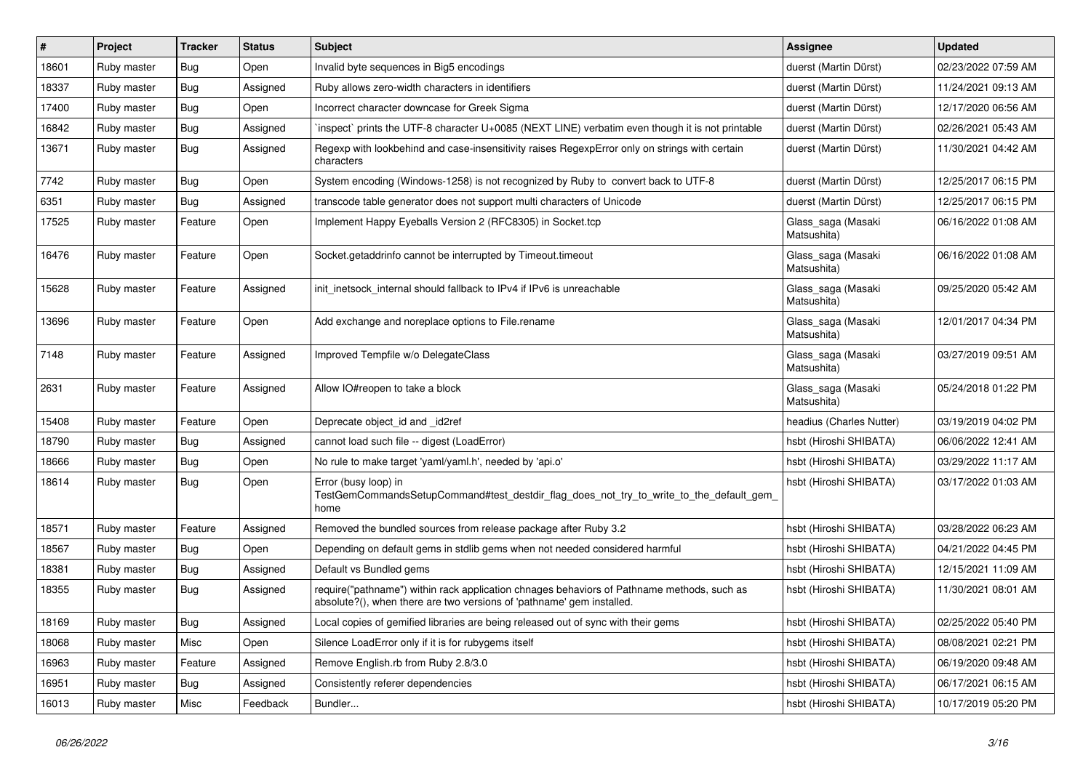| $\vert$ # | Project     | <b>Tracker</b> | <b>Status</b> | <b>Subject</b>                                                                                                                                                      | <b>Assignee</b>                   | <b>Updated</b>      |
|-----------|-------------|----------------|---------------|---------------------------------------------------------------------------------------------------------------------------------------------------------------------|-----------------------------------|---------------------|
| 18601     | Ruby master | Bug            | Open          | Invalid byte sequences in Big5 encodings                                                                                                                            | duerst (Martin Dürst)             | 02/23/2022 07:59 AM |
| 18337     | Ruby master | Bug            | Assigned      | Ruby allows zero-width characters in identifiers                                                                                                                    | duerst (Martin Dürst)             | 11/24/2021 09:13 AM |
| 17400     | Ruby master | Bug            | Open          | Incorrect character downcase for Greek Sigma                                                                                                                        | duerst (Martin Dürst)             | 12/17/2020 06:56 AM |
| 16842     | Ruby master | <b>Bug</b>     | Assigned      | inspect` prints the UTF-8 character U+0085 (NEXT LINE) verbatim even though it is not printable                                                                     | duerst (Martin Dürst)             | 02/26/2021 05:43 AM |
| 13671     | Ruby master | <b>Bug</b>     | Assigned      | Regexp with lookbehind and case-insensitivity raises RegexpError only on strings with certain<br>characters                                                         | duerst (Martin Dürst)             | 11/30/2021 04:42 AM |
| 7742      | Ruby master | Bug            | Open          | System encoding (Windows-1258) is not recognized by Ruby to convert back to UTF-8                                                                                   | duerst (Martin Dürst)             | 12/25/2017 06:15 PM |
| 6351      | Ruby master | <b>Bug</b>     | Assigned      | transcode table generator does not support multi characters of Unicode                                                                                              | duerst (Martin Dürst)             | 12/25/2017 06:15 PM |
| 17525     | Ruby master | Feature        | Open          | Implement Happy Eyeballs Version 2 (RFC8305) in Socket.tcp                                                                                                          | Glass saga (Masaki<br>Matsushita) | 06/16/2022 01:08 AM |
| 16476     | Ruby master | Feature        | Open          | Socket.getaddrinfo cannot be interrupted by Timeout.timeout                                                                                                         | Glass_saga (Masaki<br>Matsushita) | 06/16/2022 01:08 AM |
| 15628     | Ruby master | Feature        | Assigned      | init inetsock internal should fallback to IPv4 if IPv6 is unreachable                                                                                               | Glass_saga (Masaki<br>Matsushita) | 09/25/2020 05:42 AM |
| 13696     | Ruby master | Feature        | Open          | Add exchange and noreplace options to File.rename                                                                                                                   | Glass_saga (Masaki<br>Matsushita) | 12/01/2017 04:34 PM |
| 7148      | Ruby master | Feature        | Assigned      | Improved Tempfile w/o DelegateClass                                                                                                                                 | Glass_saga (Masaki<br>Matsushita) | 03/27/2019 09:51 AM |
| 2631      | Ruby master | Feature        | Assigned      | Allow IO#reopen to take a block                                                                                                                                     | Glass_saga (Masaki<br>Matsushita) | 05/24/2018 01:22 PM |
| 15408     | Ruby master | Feature        | Open          | Deprecate object_id and _id2ref                                                                                                                                     | headius (Charles Nutter)          | 03/19/2019 04:02 PM |
| 18790     | Ruby master | Bug            | Assigned      | cannot load such file -- digest (LoadError)                                                                                                                         | hsbt (Hiroshi SHIBATA)            | 06/06/2022 12:41 AM |
| 18666     | Ruby master | <b>Bug</b>     | Open          | No rule to make target 'yaml/yaml.h', needed by 'api.o'                                                                                                             | hsbt (Hiroshi SHIBATA)            | 03/29/2022 11:17 AM |
| 18614     | Ruby master | Bug            | Open          | Error (busy loop) in<br>TestGemCommandsSetupCommand#test destdir flag does not try to write to the default gem<br>home                                              | hsbt (Hiroshi SHIBATA)            | 03/17/2022 01:03 AM |
| 18571     | Ruby master | Feature        | Assigned      | Removed the bundled sources from release package after Ruby 3.2                                                                                                     | hsbt (Hiroshi SHIBATA)            | 03/28/2022 06:23 AM |
| 18567     | Ruby master | Bug            | Open          | Depending on default gems in stdlib gems when not needed considered harmful                                                                                         | hsbt (Hiroshi SHIBATA)            | 04/21/2022 04:45 PM |
| 18381     | Ruby master | Bug            | Assigned      | Default vs Bundled gems                                                                                                                                             | hsbt (Hiroshi SHIBATA)            | 12/15/2021 11:09 AM |
| 18355     | Ruby master | <b>Bug</b>     | Assigned      | require("pathname") within rack application chnages behaviors of Pathname methods, such as<br>absolute?(), when there are two versions of 'pathname' gem installed. | hsbt (Hiroshi SHIBATA)            | 11/30/2021 08:01 AM |
| 18169     | Ruby master | <b>Bug</b>     | Assigned      | Local copies of gemified libraries are being released out of sync with their gems                                                                                   | hsbt (Hiroshi SHIBATA)            | 02/25/2022 05:40 PM |
| 18068     | Ruby master | Misc           | Open          | Silence LoadError only if it is for rubygems itself                                                                                                                 | hsbt (Hiroshi SHIBATA)            | 08/08/2021 02:21 PM |
| 16963     | Ruby master | Feature        | Assigned      | Remove English.rb from Ruby 2.8/3.0                                                                                                                                 | hsbt (Hiroshi SHIBATA)            | 06/19/2020 09:48 AM |
| 16951     | Ruby master | <b>Bug</b>     | Assigned      | Consistently referer dependencies                                                                                                                                   | hsbt (Hiroshi SHIBATA)            | 06/17/2021 06:15 AM |
| 16013     | Ruby master | Misc           | Feedback      | Bundler                                                                                                                                                             | hsbt (Hiroshi SHIBATA)            | 10/17/2019 05:20 PM |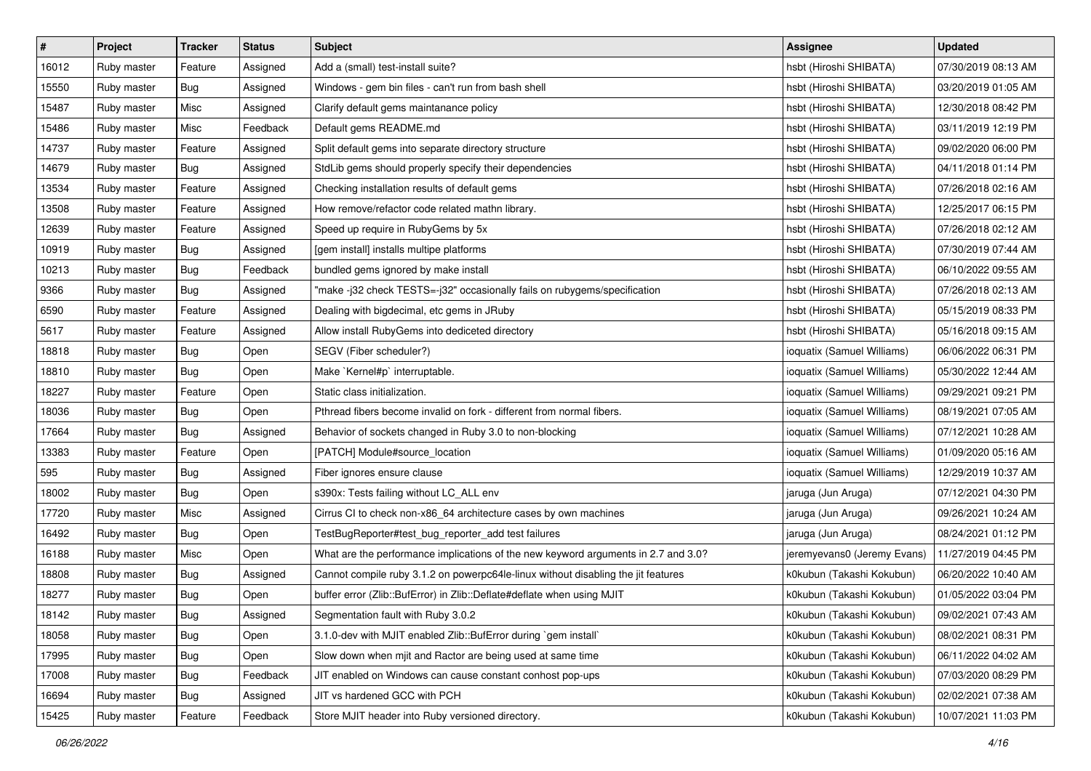| $\sharp$ | Project     | <b>Tracker</b> | <b>Status</b> | <b>Subject</b>                                                                     | <b>Assignee</b>             | <b>Updated</b>      |
|----------|-------------|----------------|---------------|------------------------------------------------------------------------------------|-----------------------------|---------------------|
| 16012    | Ruby master | Feature        | Assigned      | Add a (small) test-install suite?                                                  | hsbt (Hiroshi SHIBATA)      | 07/30/2019 08:13 AM |
| 15550    | Ruby master | <b>Bug</b>     | Assigned      | Windows - gem bin files - can't run from bash shell                                | hsbt (Hiroshi SHIBATA)      | 03/20/2019 01:05 AM |
| 15487    | Ruby master | Misc           | Assigned      | Clarify default gems maintanance policy                                            | hsbt (Hiroshi SHIBATA)      | 12/30/2018 08:42 PM |
| 15486    | Ruby master | Misc           | Feedback      | Default gems README.md                                                             | hsbt (Hiroshi SHIBATA)      | 03/11/2019 12:19 PM |
| 14737    | Ruby master | Feature        | Assigned      | Split default gems into separate directory structure                               | hsbt (Hiroshi SHIBATA)      | 09/02/2020 06:00 PM |
| 14679    | Ruby master | <b>Bug</b>     | Assigned      | StdLib gems should properly specify their dependencies                             | hsbt (Hiroshi SHIBATA)      | 04/11/2018 01:14 PM |
| 13534    | Ruby master | Feature        | Assigned      | Checking installation results of default gems                                      | hsbt (Hiroshi SHIBATA)      | 07/26/2018 02:16 AM |
| 13508    | Ruby master | Feature        | Assigned      | How remove/refactor code related mathn library.                                    | hsbt (Hiroshi SHIBATA)      | 12/25/2017 06:15 PM |
| 12639    | Ruby master | Feature        | Assigned      | Speed up require in RubyGems by 5x                                                 | hsbt (Hiroshi SHIBATA)      | 07/26/2018 02:12 AM |
| 10919    | Ruby master | Bug            | Assigned      | [gem install] installs multipe platforms                                           | hsbt (Hiroshi SHIBATA)      | 07/30/2019 07:44 AM |
| 10213    | Ruby master | <b>Bug</b>     | Feedback      | bundled gems ignored by make install                                               | hsbt (Hiroshi SHIBATA)      | 06/10/2022 09:55 AM |
| 9366     | Ruby master | <b>Bug</b>     | Assigned      | "make -j32 check TESTS=-j32" occasionally fails on rubygems/specification          | hsbt (Hiroshi SHIBATA)      | 07/26/2018 02:13 AM |
| 6590     | Ruby master | Feature        | Assigned      | Dealing with bigdecimal, etc gems in JRuby                                         | hsbt (Hiroshi SHIBATA)      | 05/15/2019 08:33 PM |
| 5617     | Ruby master | Feature        | Assigned      | Allow install RubyGems into dediceted directory                                    | hsbt (Hiroshi SHIBATA)      | 05/16/2018 09:15 AM |
| 18818    | Ruby master | <b>Bug</b>     | Open          | SEGV (Fiber scheduler?)                                                            | ioquatix (Samuel Williams)  | 06/06/2022 06:31 PM |
| 18810    | Ruby master | <b>Bug</b>     | Open          | Make `Kernel#p` interruptable.                                                     | ioquatix (Samuel Williams)  | 05/30/2022 12:44 AM |
| 18227    | Ruby master | Feature        | Open          | Static class initialization.                                                       | ioquatix (Samuel Williams)  | 09/29/2021 09:21 PM |
| 18036    | Ruby master | Bug            | Open          | Pthread fibers become invalid on fork - different from normal fibers.              | ioquatix (Samuel Williams)  | 08/19/2021 07:05 AM |
| 17664    | Ruby master | <b>Bug</b>     | Assigned      | Behavior of sockets changed in Ruby 3.0 to non-blocking                            | ioquatix (Samuel Williams)  | 07/12/2021 10:28 AM |
| 13383    | Ruby master | Feature        | Open          | [PATCH] Module#source_location                                                     | ioquatix (Samuel Williams)  | 01/09/2020 05:16 AM |
| 595      | Ruby master | <b>Bug</b>     | Assigned      | Fiber ignores ensure clause                                                        | ioquatix (Samuel Williams)  | 12/29/2019 10:37 AM |
| 18002    | Ruby master | <b>Bug</b>     | Open          | s390x: Tests failing without LC_ALL env                                            | jaruga (Jun Aruga)          | 07/12/2021 04:30 PM |
| 17720    | Ruby master | Misc           | Assigned      | Cirrus CI to check non-x86_64 architecture cases by own machines                   | jaruga (Jun Aruga)          | 09/26/2021 10:24 AM |
| 16492    | Ruby master | <b>Bug</b>     | Open          | TestBugReporter#test_bug_reporter_add test failures                                | jaruga (Jun Aruga)          | 08/24/2021 01:12 PM |
| 16188    | Ruby master | Misc           | Open          | What are the performance implications of the new keyword arguments in 2.7 and 3.0? | jeremyevans0 (Jeremy Evans) | 11/27/2019 04:45 PM |
| 18808    | Ruby master | <b>Bug</b>     | Assigned      | Cannot compile ruby 3.1.2 on powerpc64le-linux without disabling the jit features  | k0kubun (Takashi Kokubun)   | 06/20/2022 10:40 AM |
| 18277    | Ruby master | <b>Bug</b>     | Open          | buffer error (Zlib::BufError) in Zlib::Deflate#deflate when using MJIT             | k0kubun (Takashi Kokubun)   | 01/05/2022 03:04 PM |
| 18142    | Ruby master | Bug            | Assigned      | Segmentation fault with Ruby 3.0.2                                                 | k0kubun (Takashi Kokubun)   | 09/02/2021 07:43 AM |
| 18058    | Ruby master | <b>Bug</b>     | Open          | 3.1.0-dev with MJIT enabled Zlib::BufError during `gem install`                    | k0kubun (Takashi Kokubun)   | 08/02/2021 08:31 PM |
| 17995    | Ruby master | Bug            | Open          | Slow down when mjit and Ractor are being used at same time                         | k0kubun (Takashi Kokubun)   | 06/11/2022 04:02 AM |
| 17008    | Ruby master | Bug            | Feedback      | JIT enabled on Windows can cause constant conhost pop-ups                          | k0kubun (Takashi Kokubun)   | 07/03/2020 08:29 PM |
| 16694    | Ruby master | <b>Bug</b>     | Assigned      | JIT vs hardened GCC with PCH                                                       | k0kubun (Takashi Kokubun)   | 02/02/2021 07:38 AM |
| 15425    | Ruby master | Feature        | Feedback      | Store MJIT header into Ruby versioned directory.                                   | k0kubun (Takashi Kokubun)   | 10/07/2021 11:03 PM |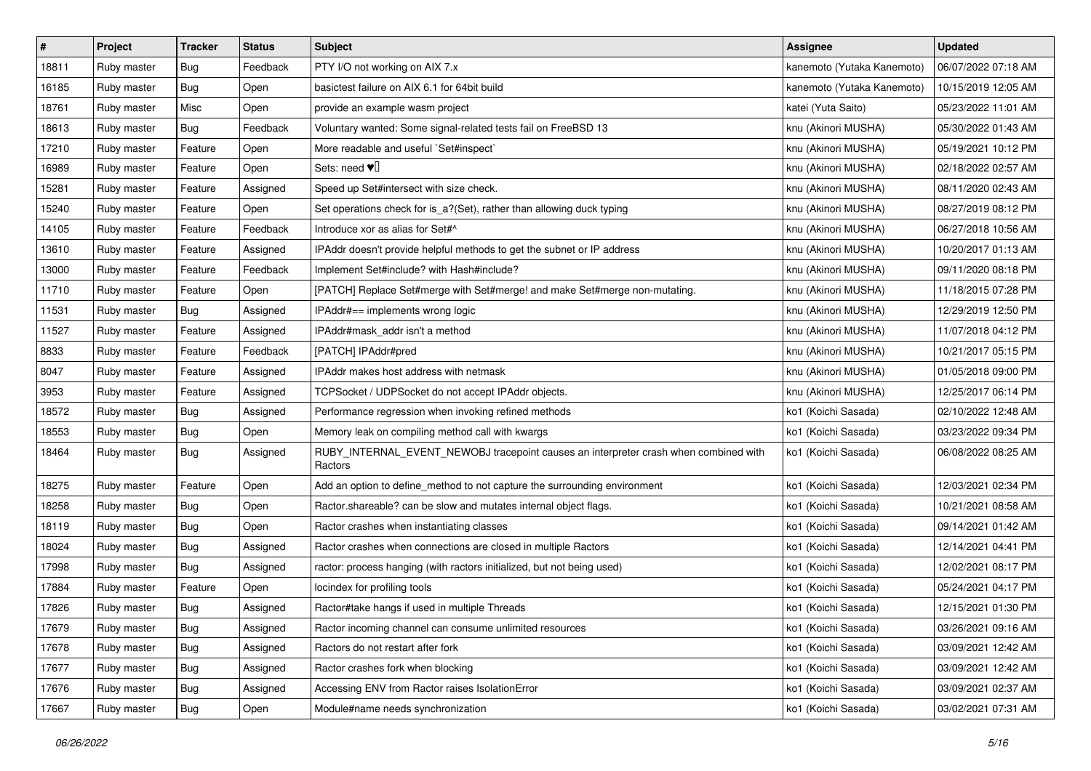| $\sharp$ | Project     | <b>Tracker</b> | <b>Status</b> | Subject                                                                                         | <b>Assignee</b>            | <b>Updated</b>      |
|----------|-------------|----------------|---------------|-------------------------------------------------------------------------------------------------|----------------------------|---------------------|
| 18811    | Ruby master | <b>Bug</b>     | Feedback      | PTY I/O not working on AIX 7.x                                                                  | kanemoto (Yutaka Kanemoto) | 06/07/2022 07:18 AM |
| 16185    | Ruby master | Bug            | Open          | basictest failure on AIX 6.1 for 64bit build                                                    | kanemoto (Yutaka Kanemoto) | 10/15/2019 12:05 AM |
| 18761    | Ruby master | Misc           | Open          | provide an example wasm project                                                                 | katei (Yuta Saito)         | 05/23/2022 11:01 AM |
| 18613    | Ruby master | <b>Bug</b>     | Feedback      | Voluntary wanted: Some signal-related tests fail on FreeBSD 13                                  | knu (Akinori MUSHA)        | 05/30/2022 01:43 AM |
| 17210    | Ruby master | Feature        | Open          | More readable and useful `Set#inspect`                                                          | knu (Akinori MUSHA)        | 05/19/2021 10:12 PM |
| 16989    | Ruby master | Feature        | Open          | Sets: need $\Psi$                                                                               | knu (Akinori MUSHA)        | 02/18/2022 02:57 AM |
| 15281    | Ruby master | Feature        | Assigned      | Speed up Set#intersect with size check.                                                         | knu (Akinori MUSHA)        | 08/11/2020 02:43 AM |
| 15240    | Ruby master | Feature        | Open          | Set operations check for is_a?(Set), rather than allowing duck typing                           | knu (Akinori MUSHA)        | 08/27/2019 08:12 PM |
| 14105    | Ruby master | Feature        | Feedback      | Introduce xor as alias for Set#^                                                                | knu (Akinori MUSHA)        | 06/27/2018 10:56 AM |
| 13610    | Ruby master | Feature        | Assigned      | IPAddr doesn't provide helpful methods to get the subnet or IP address                          | knu (Akinori MUSHA)        | 10/20/2017 01:13 AM |
| 13000    | Ruby master | Feature        | Feedback      | Implement Set#include? with Hash#include?                                                       | knu (Akinori MUSHA)        | 09/11/2020 08:18 PM |
| 11710    | Ruby master | Feature        | Open          | [PATCH] Replace Set#merge with Set#merge! and make Set#merge non-mutating.                      | knu (Akinori MUSHA)        | 11/18/2015 07:28 PM |
| 11531    | Ruby master | Bug            | Assigned      | IPAddr#== implements wrong logic                                                                | knu (Akinori MUSHA)        | 12/29/2019 12:50 PM |
| 11527    | Ruby master | Feature        | Assigned      | IPAddr#mask_addr isn't a method                                                                 | knu (Akinori MUSHA)        | 11/07/2018 04:12 PM |
| 8833     | Ruby master | Feature        | Feedback      | [PATCH] IPAddr#pred                                                                             | knu (Akinori MUSHA)        | 10/21/2017 05:15 PM |
| 8047     | Ruby master | Feature        | Assigned      | IPAddr makes host address with netmask                                                          | knu (Akinori MUSHA)        | 01/05/2018 09:00 PM |
| 3953     | Ruby master | Feature        | Assigned      | TCPSocket / UDPSocket do not accept IPAddr objects.                                             | knu (Akinori MUSHA)        | 12/25/2017 06:14 PM |
| 18572    | Ruby master | <b>Bug</b>     | Assigned      | Performance regression when invoking refined methods                                            | ko1 (Koichi Sasada)        | 02/10/2022 12:48 AM |
| 18553    | Ruby master | <b>Bug</b>     | Open          | Memory leak on compiling method call with kwargs                                                | ko1 (Koichi Sasada)        | 03/23/2022 09:34 PM |
| 18464    | Ruby master | <b>Bug</b>     | Assigned      | RUBY_INTERNAL_EVENT_NEWOBJ tracepoint causes an interpreter crash when combined with<br>Ractors | ko1 (Koichi Sasada)        | 06/08/2022 08:25 AM |
| 18275    | Ruby master | Feature        | Open          | Add an option to define_method to not capture the surrounding environment                       | ko1 (Koichi Sasada)        | 12/03/2021 02:34 PM |
| 18258    | Ruby master | Bug            | Open          | Ractor shareable? can be slow and mutates internal object flags.                                | ko1 (Koichi Sasada)        | 10/21/2021 08:58 AM |
| 18119    | Ruby master | <b>Bug</b>     | Open          | Ractor crashes when instantiating classes                                                       | ko1 (Koichi Sasada)        | 09/14/2021 01:42 AM |
| 18024    | Ruby master | <b>Bug</b>     | Assigned      | Ractor crashes when connections are closed in multiple Ractors                                  | ko1 (Koichi Sasada)        | 12/14/2021 04:41 PM |
| 17998    | Ruby master | <b>Bug</b>     | Assigned      | ractor: process hanging (with ractors initialized, but not being used)                          | ko1 (Koichi Sasada)        | 12/02/2021 08:17 PM |
| 17884    | Ruby master | Feature        | Open          | locindex for profiling tools                                                                    | ko1 (Koichi Sasada)        | 05/24/2021 04:17 PM |
| 17826    | Ruby master | <b>Bug</b>     | Assigned      | Ractor#take hangs if used in multiple Threads                                                   | ko1 (Koichi Sasada)        | 12/15/2021 01:30 PM |
| 17679    | Ruby master | <b>Bug</b>     | Assigned      | Ractor incoming channel can consume unlimited resources                                         | ko1 (Koichi Sasada)        | 03/26/2021 09:16 AM |
| 17678    | Ruby master | <b>Bug</b>     | Assigned      | Ractors do not restart after fork                                                               | ko1 (Koichi Sasada)        | 03/09/2021 12:42 AM |
| 17677    | Ruby master | <b>Bug</b>     | Assigned      | Ractor crashes fork when blocking                                                               | ko1 (Koichi Sasada)        | 03/09/2021 12:42 AM |
| 17676    | Ruby master | <b>Bug</b>     | Assigned      | Accessing ENV from Ractor raises IsolationError                                                 | ko1 (Koichi Sasada)        | 03/09/2021 02:37 AM |
| 17667    | Ruby master | Bug            | Open          | Module#name needs synchronization                                                               | ko1 (Koichi Sasada)        | 03/02/2021 07:31 AM |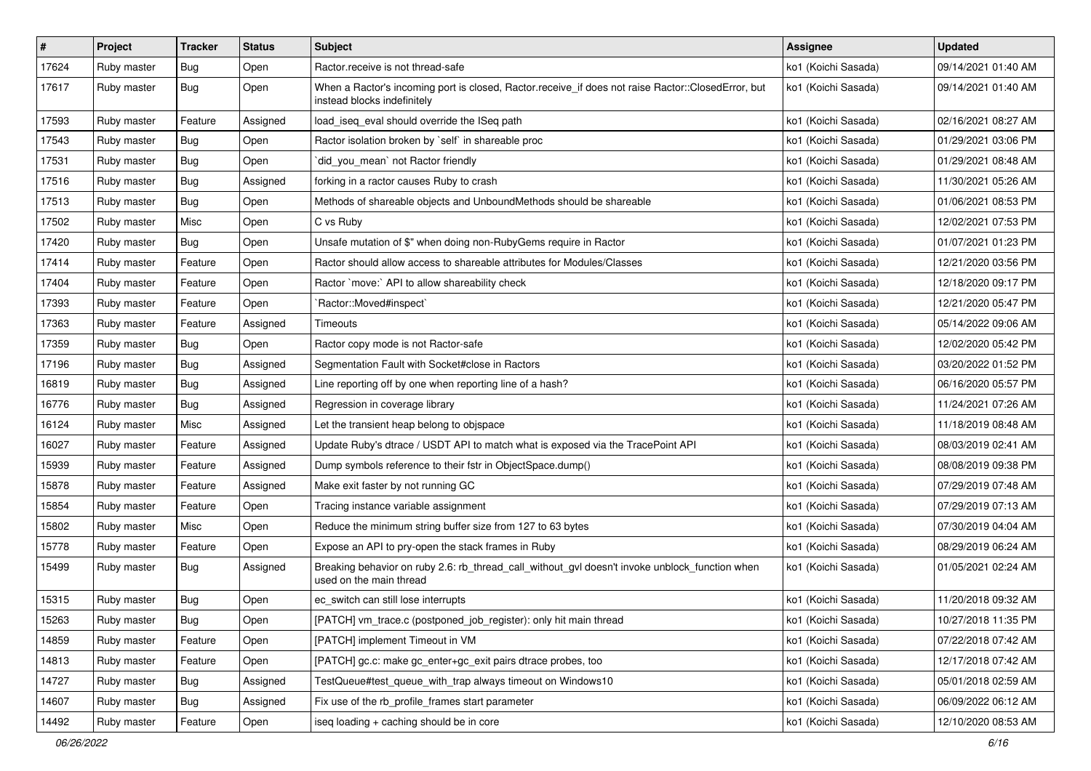| $\sharp$ | Project     | <b>Tracker</b> | <b>Status</b> | <b>Subject</b>                                                                                                                    | <b>Assignee</b>     | <b>Updated</b>      |
|----------|-------------|----------------|---------------|-----------------------------------------------------------------------------------------------------------------------------------|---------------------|---------------------|
| 17624    | Ruby master | <b>Bug</b>     | Open          | Ractor.receive is not thread-safe                                                                                                 | ko1 (Koichi Sasada) | 09/14/2021 01:40 AM |
| 17617    | Ruby master | <b>Bug</b>     | Open          | When a Ractor's incoming port is closed, Ractor.receive_if does not raise Ractor::ClosedError, but<br>instead blocks indefinitely | ko1 (Koichi Sasada) | 09/14/2021 01:40 AM |
| 17593    | Ruby master | Feature        | Assigned      | load_iseq_eval should override the ISeq path                                                                                      | ko1 (Koichi Sasada) | 02/16/2021 08:27 AM |
| 17543    | Ruby master | <b>Bug</b>     | Open          | Ractor isolation broken by `self` in shareable proc                                                                               | ko1 (Koichi Sasada) | 01/29/2021 03:06 PM |
| 17531    | Ruby master | Bug            | Open          | did_you_mean' not Ractor friendly                                                                                                 | ko1 (Koichi Sasada) | 01/29/2021 08:48 AM |
| 17516    | Ruby master | Bug            | Assigned      | forking in a ractor causes Ruby to crash                                                                                          | ko1 (Koichi Sasada) | 11/30/2021 05:26 AM |
| 17513    | Ruby master | Bug            | Open          | Methods of shareable objects and UnboundMethods should be shareable                                                               | ko1 (Koichi Sasada) | 01/06/2021 08:53 PM |
| 17502    | Ruby master | Misc           | Open          | C vs Ruby                                                                                                                         | ko1 (Koichi Sasada) | 12/02/2021 07:53 PM |
| 17420    | Ruby master | Bug            | Open          | Unsafe mutation of \$" when doing non-RubyGems require in Ractor                                                                  | ko1 (Koichi Sasada) | 01/07/2021 01:23 PM |
| 17414    | Ruby master | Feature        | Open          | Ractor should allow access to shareable attributes for Modules/Classes                                                            | ko1 (Koichi Sasada) | 12/21/2020 03:56 PM |
| 17404    | Ruby master | Feature        | Open          | Ractor `move:` API to allow shareability check                                                                                    | ko1 (Koichi Sasada) | 12/18/2020 09:17 PM |
| 17393    | Ruby master | Feature        | Open          | Ractor::Moved#inspect`                                                                                                            | ko1 (Koichi Sasada) | 12/21/2020 05:47 PM |
| 17363    | Ruby master | Feature        | Assigned      | Timeouts                                                                                                                          | ko1 (Koichi Sasada) | 05/14/2022 09:06 AM |
| 17359    | Ruby master | Bug            | Open          | Ractor copy mode is not Ractor-safe                                                                                               | ko1 (Koichi Sasada) | 12/02/2020 05:42 PM |
| 17196    | Ruby master | Bug            | Assigned      | Segmentation Fault with Socket#close in Ractors                                                                                   | ko1 (Koichi Sasada) | 03/20/2022 01:52 PM |
| 16819    | Ruby master | Bug            | Assigned      | Line reporting off by one when reporting line of a hash?                                                                          | ko1 (Koichi Sasada) | 06/16/2020 05:57 PM |
| 16776    | Ruby master | Bug            | Assigned      | Regression in coverage library                                                                                                    | ko1 (Koichi Sasada) | 11/24/2021 07:26 AM |
| 16124    | Ruby master | Misc           | Assigned      | Let the transient heap belong to objspace                                                                                         | ko1 (Koichi Sasada) | 11/18/2019 08:48 AM |
| 16027    | Ruby master | Feature        | Assigned      | Update Ruby's dtrace / USDT API to match what is exposed via the TracePoint API                                                   | ko1 (Koichi Sasada) | 08/03/2019 02:41 AM |
| 15939    | Ruby master | Feature        | Assigned      | Dump symbols reference to their fstr in ObjectSpace.dump()                                                                        | ko1 (Koichi Sasada) | 08/08/2019 09:38 PM |
| 15878    | Ruby master | Feature        | Assigned      | Make exit faster by not running GC                                                                                                | ko1 (Koichi Sasada) | 07/29/2019 07:48 AM |
| 15854    | Ruby master | Feature        | Open          | Tracing instance variable assignment                                                                                              | ko1 (Koichi Sasada) | 07/29/2019 07:13 AM |
| 15802    | Ruby master | Misc           | Open          | Reduce the minimum string buffer size from 127 to 63 bytes                                                                        | ko1 (Koichi Sasada) | 07/30/2019 04:04 AM |
| 15778    | Ruby master | Feature        | Open          | Expose an API to pry-open the stack frames in Ruby                                                                                | ko1 (Koichi Sasada) | 08/29/2019 06:24 AM |
| 15499    | Ruby master | Bug            | Assigned      | Breaking behavior on ruby 2.6: rb_thread_call_without_gvl doesn't invoke unblock_function when<br>used on the main thread         | ko1 (Koichi Sasada) | 01/05/2021 02:24 AM |
| 15315    | Ruby master | Bug            | Open          | ec_switch can still lose interrupts                                                                                               | ko1 (Koichi Sasada) | 11/20/2018 09:32 AM |
| 15263    | Ruby master | Bug            | Open          | [PATCH] vm_trace.c (postponed_job_register): only hit main thread                                                                 | ko1 (Koichi Sasada) | 10/27/2018 11:35 PM |
| 14859    | Ruby master | Feature        | Open          | [PATCH] implement Timeout in VM                                                                                                   | ko1 (Koichi Sasada) | 07/22/2018 07:42 AM |
| 14813    | Ruby master | Feature        | Open          | [PATCH] gc.c: make gc_enter+gc_exit pairs dtrace probes, too                                                                      | ko1 (Koichi Sasada) | 12/17/2018 07:42 AM |
| 14727    | Ruby master | <b>Bug</b>     | Assigned      | TestQueue#test queue with trap always timeout on Windows10                                                                        | ko1 (Koichi Sasada) | 05/01/2018 02:59 AM |
| 14607    | Ruby master | <b>Bug</b>     | Assigned      | Fix use of the rb_profile_frames start parameter                                                                                  | ko1 (Koichi Sasada) | 06/09/2022 06:12 AM |
| 14492    | Ruby master | Feature        | Open          | iseq loading + caching should be in core                                                                                          | ko1 (Koichi Sasada) | 12/10/2020 08:53 AM |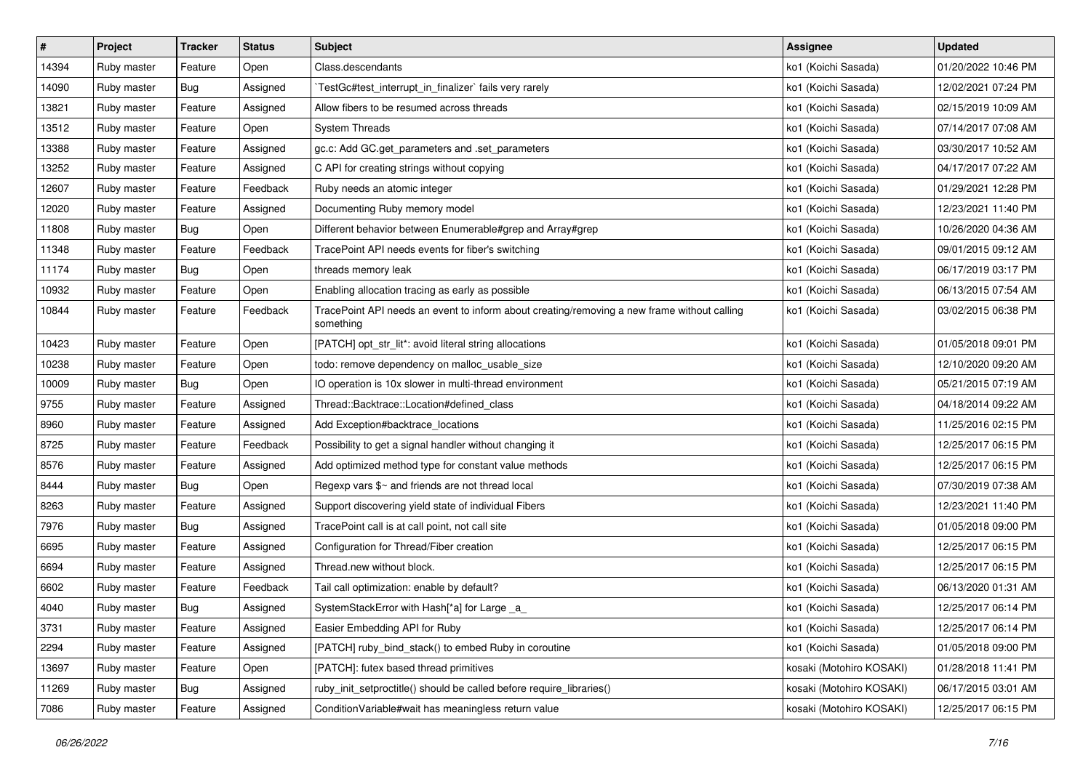| #     | Project     | <b>Tracker</b> | <b>Status</b> | <b>Subject</b>                                                                                           | <b>Assignee</b>          | <b>Updated</b>      |
|-------|-------------|----------------|---------------|----------------------------------------------------------------------------------------------------------|--------------------------|---------------------|
| 14394 | Ruby master | Feature        | Open          | Class.descendants                                                                                        | ko1 (Koichi Sasada)      | 01/20/2022 10:46 PM |
| 14090 | Ruby master | <b>Bug</b>     | Assigned      | TestGc#test_interrupt_in_finalizer` fails very rarely                                                    | ko1 (Koichi Sasada)      | 12/02/2021 07:24 PM |
| 13821 | Ruby master | Feature        | Assigned      | Allow fibers to be resumed across threads                                                                | ko1 (Koichi Sasada)      | 02/15/2019 10:09 AM |
| 13512 | Ruby master | Feature        | Open          | <b>System Threads</b>                                                                                    | ko1 (Koichi Sasada)      | 07/14/2017 07:08 AM |
| 13388 | Ruby master | Feature        | Assigned      | gc.c: Add GC.get_parameters and .set_parameters                                                          | ko1 (Koichi Sasada)      | 03/30/2017 10:52 AM |
| 13252 | Ruby master | Feature        | Assigned      | C API for creating strings without copying                                                               | ko1 (Koichi Sasada)      | 04/17/2017 07:22 AM |
| 12607 | Ruby master | Feature        | Feedback      | Ruby needs an atomic integer                                                                             | ko1 (Koichi Sasada)      | 01/29/2021 12:28 PM |
| 12020 | Ruby master | Feature        | Assigned      | Documenting Ruby memory model                                                                            | ko1 (Koichi Sasada)      | 12/23/2021 11:40 PM |
| 11808 | Ruby master | Bug            | Open          | Different behavior between Enumerable#grep and Array#grep                                                | ko1 (Koichi Sasada)      | 10/26/2020 04:36 AM |
| 11348 | Ruby master | Feature        | Feedback      | TracePoint API needs events for fiber's switching                                                        | ko1 (Koichi Sasada)      | 09/01/2015 09:12 AM |
| 11174 | Ruby master | <b>Bug</b>     | Open          | threads memory leak                                                                                      | ko1 (Koichi Sasada)      | 06/17/2019 03:17 PM |
| 10932 | Ruby master | Feature        | Open          | Enabling allocation tracing as early as possible                                                         | ko1 (Koichi Sasada)      | 06/13/2015 07:54 AM |
| 10844 | Ruby master | Feature        | Feedback      | TracePoint API needs an event to inform about creating/removing a new frame without calling<br>something | ko1 (Koichi Sasada)      | 03/02/2015 06:38 PM |
| 10423 | Ruby master | Feature        | Open          | [PATCH] opt_str_lit*: avoid literal string allocations                                                   | ko1 (Koichi Sasada)      | 01/05/2018 09:01 PM |
| 10238 | Ruby master | Feature        | Open          | todo: remove dependency on malloc_usable_size                                                            | ko1 (Koichi Sasada)      | 12/10/2020 09:20 AM |
| 10009 | Ruby master | <b>Bug</b>     | Open          | IO operation is 10x slower in multi-thread environment                                                   | ko1 (Koichi Sasada)      | 05/21/2015 07:19 AM |
| 9755  | Ruby master | Feature        | Assigned      | Thread::Backtrace::Location#defined class                                                                | ko1 (Koichi Sasada)      | 04/18/2014 09:22 AM |
| 8960  | Ruby master | Feature        | Assigned      | Add Exception#backtrace_locations                                                                        | ko1 (Koichi Sasada)      | 11/25/2016 02:15 PM |
| 8725  | Ruby master | Feature        | Feedback      | Possibility to get a signal handler without changing it                                                  | ko1 (Koichi Sasada)      | 12/25/2017 06:15 PM |
| 8576  | Ruby master | Feature        | Assigned      | Add optimized method type for constant value methods                                                     | ko1 (Koichi Sasada)      | 12/25/2017 06:15 PM |
| 8444  | Ruby master | <b>Bug</b>     | Open          | Regexp vars \$~ and friends are not thread local                                                         | ko1 (Koichi Sasada)      | 07/30/2019 07:38 AM |
| 8263  | Ruby master | Feature        | Assigned      | Support discovering yield state of individual Fibers                                                     | ko1 (Koichi Sasada)      | 12/23/2021 11:40 PM |
| 7976  | Ruby master | <b>Bug</b>     | Assigned      | TracePoint call is at call point, not call site                                                          | ko1 (Koichi Sasada)      | 01/05/2018 09:00 PM |
| 6695  | Ruby master | Feature        | Assigned      | Configuration for Thread/Fiber creation                                                                  | ko1 (Koichi Sasada)      | 12/25/2017 06:15 PM |
| 6694  | Ruby master | Feature        | Assigned      | Thread.new without block.                                                                                | ko1 (Koichi Sasada)      | 12/25/2017 06:15 PM |
| 6602  | Ruby master | Feature        | Feedback      | Tail call optimization: enable by default?                                                               | ko1 (Koichi Sasada)      | 06/13/2020 01:31 AM |
| 4040  | Ruby master | <b>Bug</b>     | Assigned      | SystemStackError with Hash[*a] for Large _a_                                                             | ko1 (Koichi Sasada)      | 12/25/2017 06:14 PM |
| 3731  | Ruby master | Feature        | Assigned      | Easier Embedding API for Ruby                                                                            | ko1 (Koichi Sasada)      | 12/25/2017 06:14 PM |
| 2294  | Ruby master | Feature        | Assigned      | [PATCH] ruby_bind_stack() to embed Ruby in coroutine                                                     | ko1 (Koichi Sasada)      | 01/05/2018 09:00 PM |
| 13697 | Ruby master | Feature        | Open          | [PATCH]: futex based thread primitives                                                                   | kosaki (Motohiro KOSAKI) | 01/28/2018 11:41 PM |
| 11269 | Ruby master | Bug            | Assigned      | ruby init setproctitle() should be called before require libraries()                                     | kosaki (Motohiro KOSAKI) | 06/17/2015 03:01 AM |
| 7086  | Ruby master | Feature        | Assigned      | ConditionVariable#wait has meaningless return value                                                      | kosaki (Motohiro KOSAKI) | 12/25/2017 06:15 PM |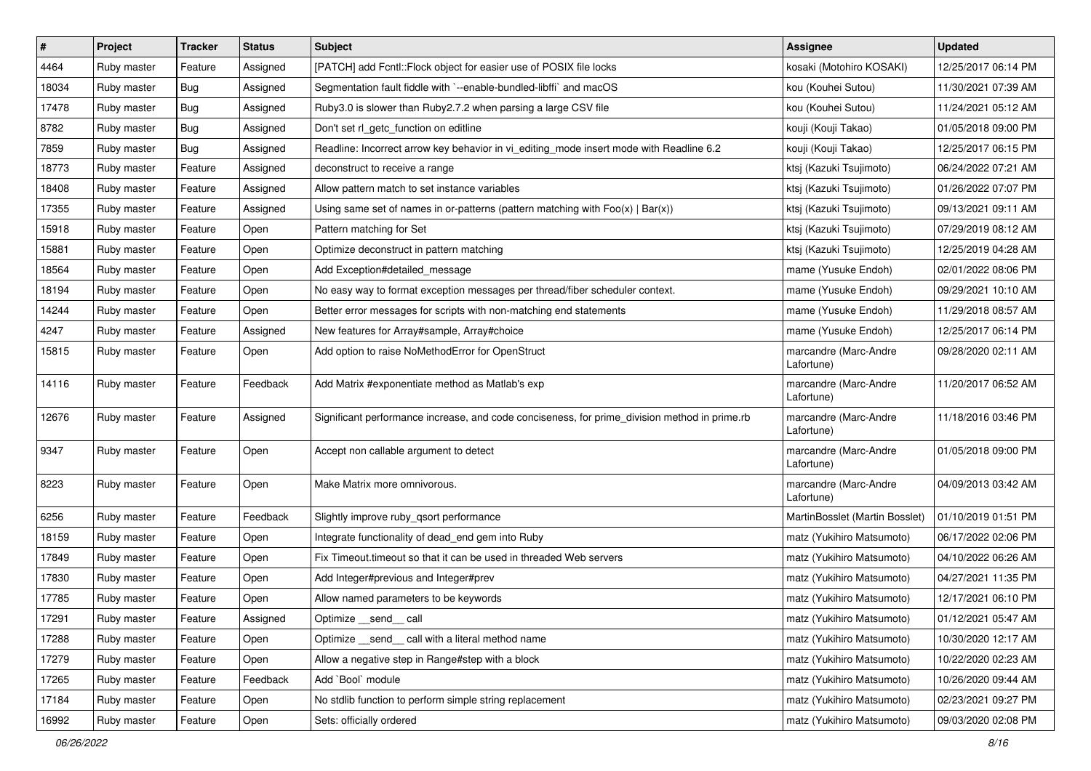| #     | Project     | <b>Tracker</b> | <b>Status</b> | Subject                                                                                       | <b>Assignee</b>                     | <b>Updated</b>      |
|-------|-------------|----------------|---------------|-----------------------------------------------------------------------------------------------|-------------------------------------|---------------------|
| 4464  | Ruby master | Feature        | Assigned      | [PATCH] add Fcntl:: Flock object for easier use of POSIX file locks                           | kosaki (Motohiro KOSAKI)            | 12/25/2017 06:14 PM |
| 18034 | Ruby master | Bug            | Assigned      | Segmentation fault fiddle with `--enable-bundled-libffi` and macOS                            | kou (Kouhei Sutou)                  | 11/30/2021 07:39 AM |
| 17478 | Ruby master | Bug            | Assigned      | Ruby3.0 is slower than Ruby2.7.2 when parsing a large CSV file                                | kou (Kouhei Sutou)                  | 11/24/2021 05:12 AM |
| 8782  | Ruby master | Bug            | Assigned      | Don't set rl_getc_function on editline                                                        | kouji (Kouji Takao)                 | 01/05/2018 09:00 PM |
| 7859  | Ruby master | <b>Bug</b>     | Assigned      | Readline: Incorrect arrow key behavior in vi_editing_mode insert mode with Readline 6.2       | kouji (Kouji Takao)                 | 12/25/2017 06:15 PM |
| 18773 | Ruby master | Feature        | Assigned      | deconstruct to receive a range                                                                | ktsj (Kazuki Tsujimoto)             | 06/24/2022 07:21 AM |
| 18408 | Ruby master | Feature        | Assigned      | Allow pattern match to set instance variables                                                 | ktsj (Kazuki Tsujimoto)             | 01/26/2022 07:07 PM |
| 17355 | Ruby master | Feature        | Assigned      | Using same set of names in or-patterns (pattern matching with $Foo(x)   Bar(x)$ )             | ktsj (Kazuki Tsujimoto)             | 09/13/2021 09:11 AM |
| 15918 | Ruby master | Feature        | Open          | Pattern matching for Set                                                                      | ktsj (Kazuki Tsujimoto)             | 07/29/2019 08:12 AM |
| 15881 | Ruby master | Feature        | Open          | Optimize deconstruct in pattern matching                                                      | ktsj (Kazuki Tsujimoto)             | 12/25/2019 04:28 AM |
| 18564 | Ruby master | Feature        | Open          | Add Exception#detailed_message                                                                | mame (Yusuke Endoh)                 | 02/01/2022 08:06 PM |
| 18194 | Ruby master | Feature        | Open          | No easy way to format exception messages per thread/fiber scheduler context.                  | mame (Yusuke Endoh)                 | 09/29/2021 10:10 AM |
| 14244 | Ruby master | Feature        | Open          | Better error messages for scripts with non-matching end statements                            | mame (Yusuke Endoh)                 | 11/29/2018 08:57 AM |
| 4247  | Ruby master | Feature        | Assigned      | New features for Array#sample, Array#choice                                                   | mame (Yusuke Endoh)                 | 12/25/2017 06:14 PM |
| 15815 | Ruby master | Feature        | Open          | Add option to raise NoMethodError for OpenStruct                                              | marcandre (Marc-Andre<br>Lafortune) | 09/28/2020 02:11 AM |
| 14116 | Ruby master | Feature        | Feedback      | Add Matrix #exponentiate method as Matlab's exp                                               | marcandre (Marc-Andre<br>Lafortune) | 11/20/2017 06:52 AM |
| 12676 | Ruby master | Feature        | Assigned      | Significant performance increase, and code conciseness, for prime_division method in prime.rb | marcandre (Marc-Andre<br>Lafortune) | 11/18/2016 03:46 PM |
| 9347  | Ruby master | Feature        | Open          | Accept non callable argument to detect                                                        | marcandre (Marc-Andre<br>Lafortune) | 01/05/2018 09:00 PM |
| 8223  | Ruby master | Feature        | Open          | Make Matrix more omnivorous.                                                                  | marcandre (Marc-Andre<br>Lafortune) | 04/09/2013 03:42 AM |
| 6256  | Ruby master | Feature        | Feedback      | Slightly improve ruby_qsort performance                                                       | MartinBosslet (Martin Bosslet)      | 01/10/2019 01:51 PM |
| 18159 | Ruby master | Feature        | Open          | Integrate functionality of dead_end gem into Ruby                                             | matz (Yukihiro Matsumoto)           | 06/17/2022 02:06 PM |
| 17849 | Ruby master | Feature        | Open          | Fix Timeout timeout so that it can be used in threaded Web servers                            | matz (Yukihiro Matsumoto)           | 04/10/2022 06:26 AM |
| 17830 | Ruby master | Feature        | Open          | Add Integer#previous and Integer#prev                                                         | matz (Yukihiro Matsumoto)           | 04/27/2021 11:35 PM |
| 17785 | Ruby master | Feature        | Open          | Allow named parameters to be keywords                                                         | matz (Yukihiro Matsumoto)           | 12/17/2021 06:10 PM |
| 17291 | Ruby master | Feature        | Assigned      | Optimize __send__ call                                                                        | matz (Yukihiro Matsumoto)           | 01/12/2021 05:47 AM |
| 17288 | Ruby master | Feature        | Open          | Optimize _send_ call with a literal method name                                               | matz (Yukihiro Matsumoto)           | 10/30/2020 12:17 AM |
| 17279 | Ruby master | Feature        | Open          | Allow a negative step in Range#step with a block                                              | matz (Yukihiro Matsumoto)           | 10/22/2020 02:23 AM |
| 17265 | Ruby master | Feature        | Feedback      | Add `Bool` module                                                                             | matz (Yukihiro Matsumoto)           | 10/26/2020 09:44 AM |
| 17184 | Ruby master | Feature        | Open          | No stdlib function to perform simple string replacement                                       | matz (Yukihiro Matsumoto)           | 02/23/2021 09:27 PM |
| 16992 | Ruby master | Feature        | Open          | Sets: officially ordered                                                                      | matz (Yukihiro Matsumoto)           | 09/03/2020 02:08 PM |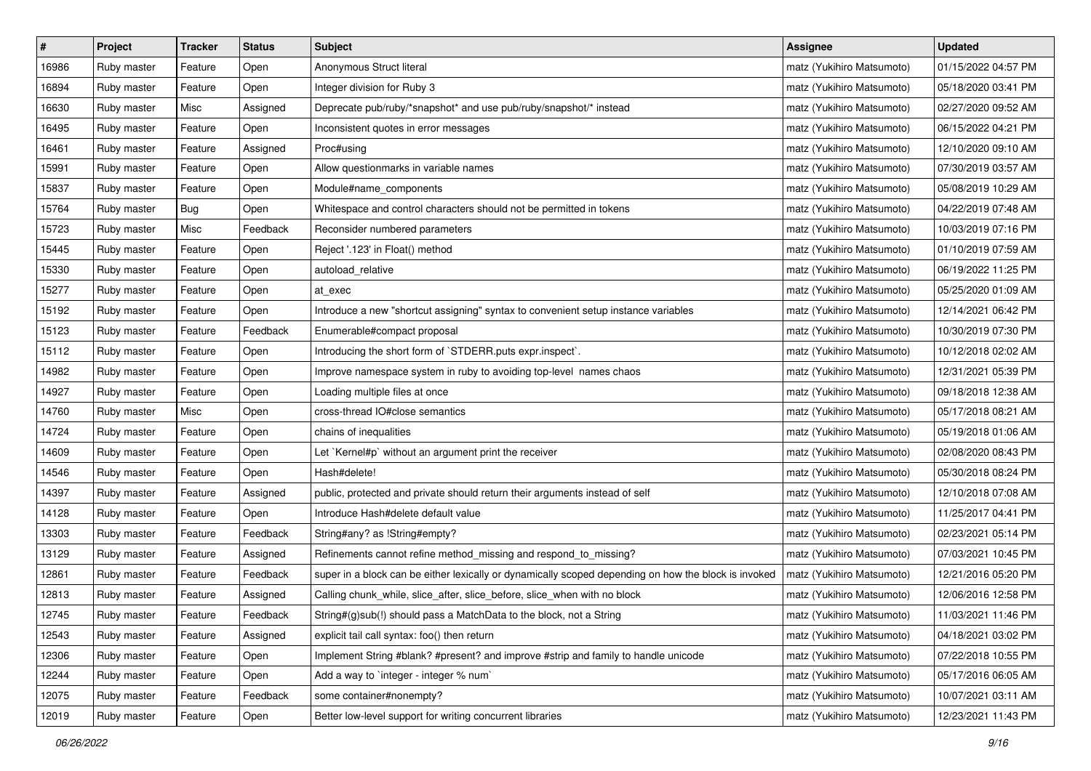| $\sharp$ | Project     | <b>Tracker</b> | <b>Status</b> | Subject                                                                                              | <b>Assignee</b>           | <b>Updated</b>      |
|----------|-------------|----------------|---------------|------------------------------------------------------------------------------------------------------|---------------------------|---------------------|
| 16986    | Ruby master | Feature        | Open          | Anonymous Struct literal                                                                             | matz (Yukihiro Matsumoto) | 01/15/2022 04:57 PM |
| 16894    | Ruby master | Feature        | Open          | Integer division for Ruby 3                                                                          | matz (Yukihiro Matsumoto) | 05/18/2020 03:41 PM |
| 16630    | Ruby master | Misc           | Assigned      | Deprecate pub/ruby/*snapshot* and use pub/ruby/snapshot/* instead                                    | matz (Yukihiro Matsumoto) | 02/27/2020 09:52 AM |
| 16495    | Ruby master | Feature        | Open          | Inconsistent quotes in error messages                                                                | matz (Yukihiro Matsumoto) | 06/15/2022 04:21 PM |
| 16461    | Ruby master | Feature        | Assigned      | Proc#using                                                                                           | matz (Yukihiro Matsumoto) | 12/10/2020 09:10 AM |
| 15991    | Ruby master | Feature        | Open          | Allow questionmarks in variable names                                                                | matz (Yukihiro Matsumoto) | 07/30/2019 03:57 AM |
| 15837    | Ruby master | Feature        | Open          | Module#name components                                                                               | matz (Yukihiro Matsumoto) | 05/08/2019 10:29 AM |
| 15764    | Ruby master | Bug            | Open          | Whitespace and control characters should not be permitted in tokens                                  | matz (Yukihiro Matsumoto) | 04/22/2019 07:48 AM |
| 15723    | Ruby master | Misc           | Feedback      | Reconsider numbered parameters                                                                       | matz (Yukihiro Matsumoto) | 10/03/2019 07:16 PM |
| 15445    | Ruby master | Feature        | Open          | Reject '.123' in Float() method                                                                      | matz (Yukihiro Matsumoto) | 01/10/2019 07:59 AM |
| 15330    | Ruby master | Feature        | Open          | autoload_relative                                                                                    | matz (Yukihiro Matsumoto) | 06/19/2022 11:25 PM |
| 15277    | Ruby master | Feature        | Open          | at exec                                                                                              | matz (Yukihiro Matsumoto) | 05/25/2020 01:09 AM |
| 15192    | Ruby master | Feature        | Open          | Introduce a new "shortcut assigning" syntax to convenient setup instance variables                   | matz (Yukihiro Matsumoto) | 12/14/2021 06:42 PM |
| 15123    | Ruby master | Feature        | Feedback      | Enumerable#compact proposal                                                                          | matz (Yukihiro Matsumoto) | 10/30/2019 07:30 PM |
| 15112    | Ruby master | Feature        | Open          | Introducing the short form of `STDERR.puts expr.inspect`.                                            | matz (Yukihiro Matsumoto) | 10/12/2018 02:02 AM |
| 14982    | Ruby master | Feature        | Open          | Improve namespace system in ruby to avoiding top-level names chaos                                   | matz (Yukihiro Matsumoto) | 12/31/2021 05:39 PM |
| 14927    | Ruby master | Feature        | Open          | Loading multiple files at once                                                                       | matz (Yukihiro Matsumoto) | 09/18/2018 12:38 AM |
| 14760    | Ruby master | Misc           | Open          | cross-thread IO#close semantics                                                                      | matz (Yukihiro Matsumoto) | 05/17/2018 08:21 AM |
| 14724    | Ruby master | Feature        | Open          | chains of inequalities                                                                               | matz (Yukihiro Matsumoto) | 05/19/2018 01:06 AM |
| 14609    | Ruby master | Feature        | Open          | Let `Kernel#p` without an argument print the receiver                                                | matz (Yukihiro Matsumoto) | 02/08/2020 08:43 PM |
| 14546    | Ruby master | Feature        | Open          | Hash#delete!                                                                                         | matz (Yukihiro Matsumoto) | 05/30/2018 08:24 PM |
| 14397    | Ruby master | Feature        | Assigned      | public, protected and private should return their arguments instead of self                          | matz (Yukihiro Matsumoto) | 12/10/2018 07:08 AM |
| 14128    | Ruby master | Feature        | Open          | Introduce Hash#delete default value                                                                  | matz (Yukihiro Matsumoto) | 11/25/2017 04:41 PM |
| 13303    | Ruby master | Feature        | Feedback      | String#any? as !String#empty?                                                                        | matz (Yukihiro Matsumoto) | 02/23/2021 05:14 PM |
| 13129    | Ruby master | Feature        | Assigned      | Refinements cannot refine method_missing and respond_to_missing?                                     | matz (Yukihiro Matsumoto) | 07/03/2021 10:45 PM |
| 12861    | Ruby master | Feature        | Feedback      | super in a block can be either lexically or dynamically scoped depending on how the block is invoked | matz (Yukihiro Matsumoto) | 12/21/2016 05:20 PM |
| 12813    | Ruby master | Feature        | Assigned      | Calling chunk_while, slice_after, slice_before, slice_when with no block                             | matz (Yukihiro Matsumoto) | 12/06/2016 12:58 PM |
| 12745    | Ruby master | Feature        | Feedback      | String#(g)sub(!) should pass a MatchData to the block, not a String                                  | matz (Yukihiro Matsumoto) | 11/03/2021 11:46 PM |
| 12543    | Ruby master | Feature        | Assigned      | explicit tail call syntax: foo() then return                                                         | matz (Yukihiro Matsumoto) | 04/18/2021 03:02 PM |
| 12306    | Ruby master | Feature        | Open          | Implement String #blank? #present? and improve #strip and family to handle unicode                   | matz (Yukihiro Matsumoto) | 07/22/2018 10:55 PM |
| 12244    | Ruby master | Feature        | Open          | Add a way to `integer - integer % num`                                                               | matz (Yukihiro Matsumoto) | 05/17/2016 06:05 AM |
| 12075    | Ruby master | Feature        | Feedback      | some container#nonempty?                                                                             | matz (Yukihiro Matsumoto) | 10/07/2021 03:11 AM |
| 12019    | Ruby master | Feature        | Open          | Better low-level support for writing concurrent libraries                                            | matz (Yukihiro Matsumoto) | 12/23/2021 11:43 PM |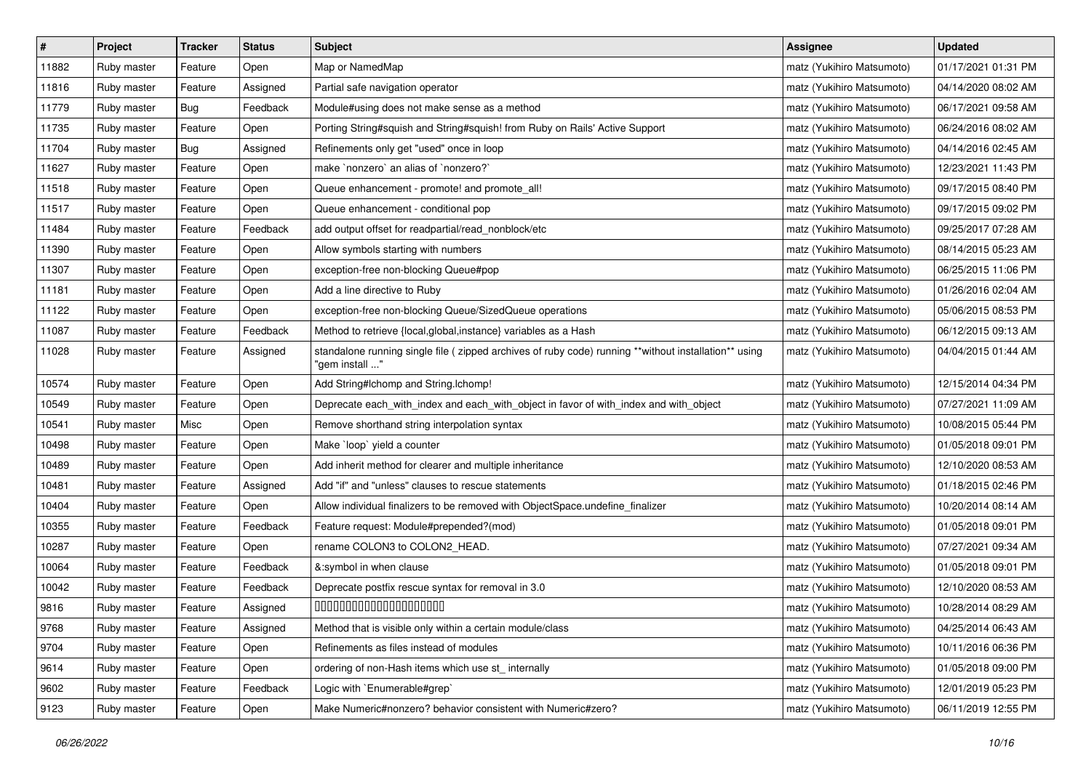| $\sharp$ | Project     | <b>Tracker</b> | <b>Status</b> | Subject                                                                                                                 | <b>Assignee</b>           | <b>Updated</b>      |
|----------|-------------|----------------|---------------|-------------------------------------------------------------------------------------------------------------------------|---------------------------|---------------------|
| 11882    | Ruby master | Feature        | Open          | Map or NamedMap                                                                                                         | matz (Yukihiro Matsumoto) | 01/17/2021 01:31 PM |
| 11816    | Ruby master | Feature        | Assigned      | Partial safe navigation operator                                                                                        | matz (Yukihiro Matsumoto) | 04/14/2020 08:02 AM |
| 11779    | Ruby master | <b>Bug</b>     | Feedback      | Module#using does not make sense as a method                                                                            | matz (Yukihiro Matsumoto) | 06/17/2021 09:58 AM |
| 11735    | Ruby master | Feature        | Open          | Porting String#squish and String#squish! from Ruby on Rails' Active Support                                             | matz (Yukihiro Matsumoto) | 06/24/2016 08:02 AM |
| 11704    | Ruby master | Bug            | Assigned      | Refinements only get "used" once in loop                                                                                | matz (Yukihiro Matsumoto) | 04/14/2016 02:45 AM |
| 11627    | Ruby master | Feature        | Open          | make `nonzero` an alias of `nonzero?`                                                                                   | matz (Yukihiro Matsumoto) | 12/23/2021 11:43 PM |
| 11518    | Ruby master | Feature        | Open          | Queue enhancement - promote! and promote_all!                                                                           | matz (Yukihiro Matsumoto) | 09/17/2015 08:40 PM |
| 11517    | Ruby master | Feature        | Open          | Queue enhancement - conditional pop                                                                                     | matz (Yukihiro Matsumoto) | 09/17/2015 09:02 PM |
| 11484    | Ruby master | Feature        | Feedback      | add output offset for readpartial/read_nonblock/etc                                                                     | matz (Yukihiro Matsumoto) | 09/25/2017 07:28 AM |
| 11390    | Ruby master | Feature        | Open          | Allow symbols starting with numbers                                                                                     | matz (Yukihiro Matsumoto) | 08/14/2015 05:23 AM |
| 11307    | Ruby master | Feature        | Open          | exception-free non-blocking Queue#pop                                                                                   | matz (Yukihiro Matsumoto) | 06/25/2015 11:06 PM |
| 11181    | Ruby master | Feature        | Open          | Add a line directive to Ruby                                                                                            | matz (Yukihiro Matsumoto) | 01/26/2016 02:04 AM |
| 11122    | Ruby master | Feature        | Open          | exception-free non-blocking Queue/SizedQueue operations                                                                 | matz (Yukihiro Matsumoto) | 05/06/2015 08:53 PM |
| 11087    | Ruby master | Feature        | Feedback      | Method to retrieve {local, global, instance} variables as a Hash                                                        | matz (Yukihiro Matsumoto) | 06/12/2015 09:13 AM |
| 11028    | Ruby master | Feature        | Assigned      | standalone running single file ( zipped archives of ruby code) running **without installation** using<br>"gem install " | matz (Yukihiro Matsumoto) | 04/04/2015 01:44 AM |
| 10574    | Ruby master | Feature        | Open          | Add String#Ichomp and String.Ichomp!                                                                                    | matz (Yukihiro Matsumoto) | 12/15/2014 04:34 PM |
| 10549    | Ruby master | Feature        | Open          | Deprecate each_with_index and each_with_object in favor of with_index and with_object                                   | matz (Yukihiro Matsumoto) | 07/27/2021 11:09 AM |
| 10541    | Ruby master | Misc           | Open          | Remove shorthand string interpolation syntax                                                                            | matz (Yukihiro Matsumoto) | 10/08/2015 05:44 PM |
| 10498    | Ruby master | Feature        | Open          | Make 'loop' yield a counter                                                                                             | matz (Yukihiro Matsumoto) | 01/05/2018 09:01 PM |
| 10489    | Ruby master | Feature        | Open          | Add inherit method for clearer and multiple inheritance                                                                 | matz (Yukihiro Matsumoto) | 12/10/2020 08:53 AM |
| 10481    | Ruby master | Feature        | Assigned      | Add "if" and "unless" clauses to rescue statements                                                                      | matz (Yukihiro Matsumoto) | 01/18/2015 02:46 PM |
| 10404    | Ruby master | Feature        | Open          | Allow individual finalizers to be removed with ObjectSpace.undefine_finalizer                                           | matz (Yukihiro Matsumoto) | 10/20/2014 08:14 AM |
| 10355    | Ruby master | Feature        | Feedback      | Feature request: Module#prepended?(mod)                                                                                 | matz (Yukihiro Matsumoto) | 01/05/2018 09:01 PM |
| 10287    | Ruby master | Feature        | Open          | rename COLON3 to COLON2_HEAD.                                                                                           | matz (Yukihiro Matsumoto) | 07/27/2021 09:34 AM |
| 10064    | Ruby master | Feature        | Feedback      | &:symbol in when clause                                                                                                 | matz (Yukihiro Matsumoto) | 01/05/2018 09:01 PM |
| 10042    | Ruby master | Feature        | Feedback      | Deprecate postfix rescue syntax for removal in 3.0                                                                      | matz (Yukihiro Matsumoto) | 12/10/2020 08:53 AM |
| 9816     | Ruby master | Feature        | Assigned      | 00000000000000000000                                                                                                    | matz (Yukihiro Matsumoto) | 10/28/2014 08:29 AM |
| 9768     | Ruby master | Feature        | Assigned      | Method that is visible only within a certain module/class                                                               | matz (Yukihiro Matsumoto) | 04/25/2014 06:43 AM |
| 9704     | Ruby master | Feature        | Open          | Refinements as files instead of modules                                                                                 | matz (Yukihiro Matsumoto) | 10/11/2016 06:36 PM |
| 9614     | Ruby master | Feature        | Open          | ordering of non-Hash items which use st_ internally                                                                     | matz (Yukihiro Matsumoto) | 01/05/2018 09:00 PM |
| 9602     | Ruby master | Feature        | Feedback      | Logic with `Enumerable#grep`                                                                                            | matz (Yukihiro Matsumoto) | 12/01/2019 05:23 PM |
| 9123     | Ruby master | Feature        | Open          | Make Numeric#nonzero? behavior consistent with Numeric#zero?                                                            | matz (Yukihiro Matsumoto) | 06/11/2019 12:55 PM |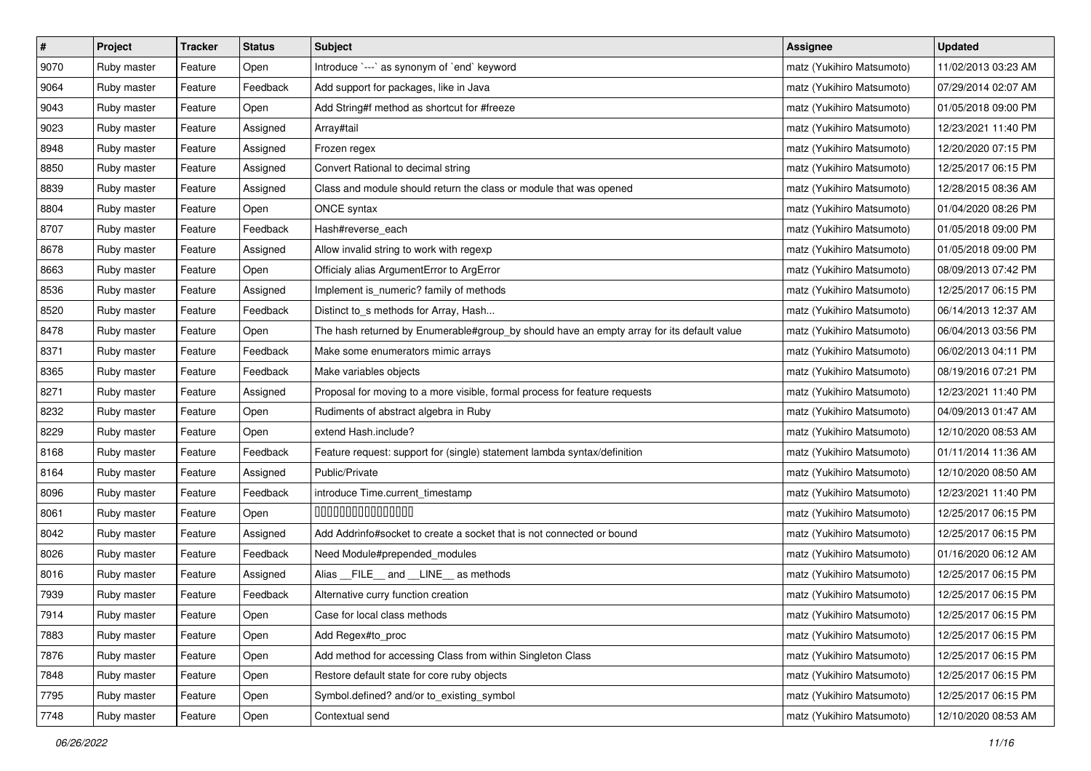| $\vert$ # | Project     | <b>Tracker</b> | <b>Status</b> | <b>Subject</b>                                                                            | <b>Assignee</b>           | <b>Updated</b>      |
|-----------|-------------|----------------|---------------|-------------------------------------------------------------------------------------------|---------------------------|---------------------|
| 9070      | Ruby master | Feature        | Open          | Introduce `---` as synonym of `end` keyword                                               | matz (Yukihiro Matsumoto) | 11/02/2013 03:23 AM |
| 9064      | Ruby master | Feature        | Feedback      | Add support for packages, like in Java                                                    | matz (Yukihiro Matsumoto) | 07/29/2014 02:07 AM |
| 9043      | Ruby master | Feature        | Open          | Add String#f method as shortcut for #freeze                                               | matz (Yukihiro Matsumoto) | 01/05/2018 09:00 PM |
| 9023      | Ruby master | Feature        | Assigned      | Array#tail                                                                                | matz (Yukihiro Matsumoto) | 12/23/2021 11:40 PM |
| 8948      | Ruby master | Feature        | Assigned      | Frozen regex                                                                              | matz (Yukihiro Matsumoto) | 12/20/2020 07:15 PM |
| 8850      | Ruby master | Feature        | Assigned      | Convert Rational to decimal string                                                        | matz (Yukihiro Matsumoto) | 12/25/2017 06:15 PM |
| 8839      | Ruby master | Feature        | Assigned      | Class and module should return the class or module that was opened                        | matz (Yukihiro Matsumoto) | 12/28/2015 08:36 AM |
| 8804      | Ruby master | Feature        | Open          | ONCE syntax                                                                               | matz (Yukihiro Matsumoto) | 01/04/2020 08:26 PM |
| 8707      | Ruby master | Feature        | Feedback      | Hash#reverse_each                                                                         | matz (Yukihiro Matsumoto) | 01/05/2018 09:00 PM |
| 8678      | Ruby master | Feature        | Assigned      | Allow invalid string to work with regexp                                                  | matz (Yukihiro Matsumoto) | 01/05/2018 09:00 PM |
| 8663      | Ruby master | Feature        | Open          | Officialy alias ArgumentError to ArgError                                                 | matz (Yukihiro Matsumoto) | 08/09/2013 07:42 PM |
| 8536      | Ruby master | Feature        | Assigned      | Implement is_numeric? family of methods                                                   | matz (Yukihiro Matsumoto) | 12/25/2017 06:15 PM |
| 8520      | Ruby master | Feature        | Feedback      | Distinct to_s methods for Array, Hash                                                     | matz (Yukihiro Matsumoto) | 06/14/2013 12:37 AM |
| 8478      | Ruby master | Feature        | Open          | The hash returned by Enumerable#group_by should have an empty array for its default value | matz (Yukihiro Matsumoto) | 06/04/2013 03:56 PM |
| 8371      | Ruby master | Feature        | Feedback      | Make some enumerators mimic arrays                                                        | matz (Yukihiro Matsumoto) | 06/02/2013 04:11 PM |
| 8365      | Ruby master | Feature        | Feedback      | Make variables objects                                                                    | matz (Yukihiro Matsumoto) | 08/19/2016 07:21 PM |
| 8271      | Ruby master | Feature        | Assigned      | Proposal for moving to a more visible, formal process for feature requests                | matz (Yukihiro Matsumoto) | 12/23/2021 11:40 PM |
| 8232      | Ruby master | Feature        | Open          | Rudiments of abstract algebra in Ruby                                                     | matz (Yukihiro Matsumoto) | 04/09/2013 01:47 AM |
| 8229      | Ruby master | Feature        | Open          | extend Hash.include?                                                                      | matz (Yukihiro Matsumoto) | 12/10/2020 08:53 AM |
| 8168      | Ruby master | Feature        | Feedback      | Feature request: support for (single) statement lambda syntax/definition                  | matz (Yukihiro Matsumoto) | 01/11/2014 11:36 AM |
| 8164      | Ruby master | Feature        | Assigned      | Public/Private                                                                            | matz (Yukihiro Matsumoto) | 12/10/2020 08:50 AM |
| 8096      | Ruby master | Feature        | Feedback      | introduce Time.current_timestamp                                                          | matz (Yukihiro Matsumoto) | 12/23/2021 11:40 PM |
| 8061      | Ruby master | Feature        | Open          | 000000000000000                                                                           | matz (Yukihiro Matsumoto) | 12/25/2017 06:15 PM |
| 8042      | Ruby master | Feature        | Assigned      | Add Addrinfo#socket to create a socket that is not connected or bound                     | matz (Yukihiro Matsumoto) | 12/25/2017 06:15 PM |
| 8026      | Ruby master | Feature        | Feedback      | Need Module#prepended_modules                                                             | matz (Yukihiro Matsumoto) | 01/16/2020 06:12 AM |
| 8016      | Ruby master | Feature        | Assigned      | Alias __FILE__ and __LINE__ as methods                                                    | matz (Yukihiro Matsumoto) | 12/25/2017 06:15 PM |
| 7939      | Ruby master | Feature        | Feedback      | Alternative curry function creation                                                       | matz (Yukihiro Matsumoto) | 12/25/2017 06:15 PM |
| 7914      | Ruby master | Feature        | Open          | Case for local class methods                                                              | matz (Yukihiro Matsumoto) | 12/25/2017 06:15 PM |
| 7883      | Ruby master | Feature        | Open          | Add Regex#to_proc                                                                         | matz (Yukihiro Matsumoto) | 12/25/2017 06:15 PM |
| 7876      | Ruby master | Feature        | Open          | Add method for accessing Class from within Singleton Class                                | matz (Yukihiro Matsumoto) | 12/25/2017 06:15 PM |
| 7848      | Ruby master | Feature        | Open          | Restore default state for core ruby objects                                               | matz (Yukihiro Matsumoto) | 12/25/2017 06:15 PM |
| 7795      | Ruby master | Feature        | Open          | Symbol.defined? and/or to existing symbol                                                 | matz (Yukihiro Matsumoto) | 12/25/2017 06:15 PM |
| 7748      | Ruby master | Feature        | Open          | Contextual send                                                                           | matz (Yukihiro Matsumoto) | 12/10/2020 08:53 AM |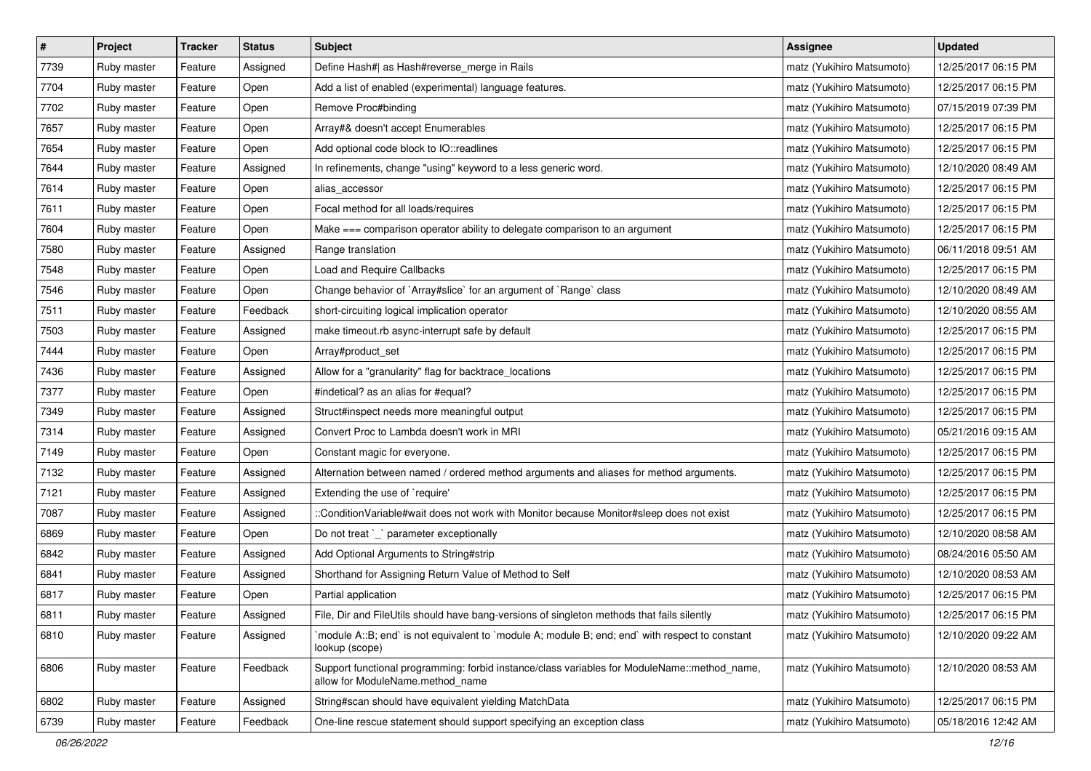| $\pmb{\#}$ | Project     | <b>Tracker</b> | <b>Status</b> | <b>Subject</b>                                                                                                                   | <b>Assignee</b>           | <b>Updated</b>      |
|------------|-------------|----------------|---------------|----------------------------------------------------------------------------------------------------------------------------------|---------------------------|---------------------|
| 7739       | Ruby master | Feature        | Assigned      | Define Hash#  as Hash#reverse_merge in Rails                                                                                     | matz (Yukihiro Matsumoto) | 12/25/2017 06:15 PM |
| 7704       | Ruby master | Feature        | Open          | Add a list of enabled (experimental) language features.                                                                          | matz (Yukihiro Matsumoto) | 12/25/2017 06:15 PM |
| 7702       | Ruby master | Feature        | Open          | Remove Proc#binding                                                                                                              | matz (Yukihiro Matsumoto) | 07/15/2019 07:39 PM |
| 7657       | Ruby master | Feature        | Open          | Array#& doesn't accept Enumerables                                                                                               | matz (Yukihiro Matsumoto) | 12/25/2017 06:15 PM |
| 7654       | Ruby master | Feature        | Open          | Add optional code block to IO::readlines                                                                                         | matz (Yukihiro Matsumoto) | 12/25/2017 06:15 PM |
| 7644       | Ruby master | Feature        | Assigned      | In refinements, change "using" keyword to a less generic word.                                                                   | matz (Yukihiro Matsumoto) | 12/10/2020 08:49 AM |
| 7614       | Ruby master | Feature        | Open          | alias_accessor                                                                                                                   | matz (Yukihiro Matsumoto) | 12/25/2017 06:15 PM |
| 7611       | Ruby master | Feature        | Open          | Focal method for all loads/requires                                                                                              | matz (Yukihiro Matsumoto) | 12/25/2017 06:15 PM |
| 7604       | Ruby master | Feature        | Open          | Make === comparison operator ability to delegate comparison to an argument                                                       | matz (Yukihiro Matsumoto) | 12/25/2017 06:15 PM |
| 7580       | Ruby master | Feature        | Assigned      | Range translation                                                                                                                | matz (Yukihiro Matsumoto) | 06/11/2018 09:51 AM |
| 7548       | Ruby master | Feature        | Open          | Load and Require Callbacks                                                                                                       | matz (Yukihiro Matsumoto) | 12/25/2017 06:15 PM |
| 7546       | Ruby master | Feature        | Open          | Change behavior of `Array#slice` for an argument of `Range` class                                                                | matz (Yukihiro Matsumoto) | 12/10/2020 08:49 AM |
| 7511       | Ruby master | Feature        | Feedback      | short-circuiting logical implication operator                                                                                    | matz (Yukihiro Matsumoto) | 12/10/2020 08:55 AM |
| 7503       | Ruby master | Feature        | Assigned      | make timeout.rb async-interrupt safe by default                                                                                  | matz (Yukihiro Matsumoto) | 12/25/2017 06:15 PM |
| 7444       | Ruby master | Feature        | Open          | Array#product_set                                                                                                                | matz (Yukihiro Matsumoto) | 12/25/2017 06:15 PM |
| 7436       | Ruby master | Feature        | Assigned      | Allow for a "granularity" flag for backtrace_locations                                                                           | matz (Yukihiro Matsumoto) | 12/25/2017 06:15 PM |
| 7377       | Ruby master | Feature        | Open          | #indetical? as an alias for #equal?                                                                                              | matz (Yukihiro Matsumoto) | 12/25/2017 06:15 PM |
| 7349       | Ruby master | Feature        | Assigned      | Struct#inspect needs more meaningful output                                                                                      | matz (Yukihiro Matsumoto) | 12/25/2017 06:15 PM |
| 7314       | Ruby master | Feature        | Assigned      | Convert Proc to Lambda doesn't work in MRI                                                                                       | matz (Yukihiro Matsumoto) | 05/21/2016 09:15 AM |
| 7149       | Ruby master | Feature        | Open          | Constant magic for everyone.                                                                                                     | matz (Yukihiro Matsumoto) | 12/25/2017 06:15 PM |
| 7132       | Ruby master | Feature        | Assigned      | Alternation between named / ordered method arguments and aliases for method arguments.                                           | matz (Yukihiro Matsumoto) | 12/25/2017 06:15 PM |
| 7121       | Ruby master | Feature        | Assigned      | Extending the use of `require'                                                                                                   | matz (Yukihiro Matsumoto) | 12/25/2017 06:15 PM |
| 7087       | Ruby master | Feature        | Assigned      | ::ConditionVariable#wait does not work with Monitor because Monitor#sleep does not exist                                         | matz (Yukihiro Matsumoto) | 12/25/2017 06:15 PM |
| 6869       | Ruby master | Feature        | Open          | Do not treat `_` parameter exceptionally                                                                                         | matz (Yukihiro Matsumoto) | 12/10/2020 08:58 AM |
| 6842       | Ruby master | Feature        | Assigned      | Add Optional Arguments to String#strip                                                                                           | matz (Yukihiro Matsumoto) | 08/24/2016 05:50 AM |
| 6841       | Ruby master | Feature        | Assigned      | Shorthand for Assigning Return Value of Method to Self                                                                           | matz (Yukihiro Matsumoto) | 12/10/2020 08:53 AM |
| 6817       | Ruby master | Feature        | Open          | Partial application                                                                                                              | matz (Yukihiro Matsumoto) | 12/25/2017 06:15 PM |
| 6811       | Ruby master | Feature        | Assigned      | File, Dir and FileUtils should have bang-versions of singleton methods that fails silently                                       | matz (Yukihiro Matsumoto) | 12/25/2017 06:15 PM |
| 6810       | Ruby master | Feature        | Assigned      | module A::B; end` is not equivalent to `module A; module B; end; end` with respect to constant<br>lookup (scope)                 | matz (Yukihiro Matsumoto) | 12/10/2020 09:22 AM |
| 6806       | Ruby master | Feature        | Feedback      | Support functional programming: forbid instance/class variables for ModuleName::method_name,<br>allow for ModuleName.method name | matz (Yukihiro Matsumoto) | 12/10/2020 08:53 AM |
| 6802       | Ruby master | Feature        | Assigned      | String#scan should have equivalent yielding MatchData                                                                            | matz (Yukihiro Matsumoto) | 12/25/2017 06:15 PM |
| 6739       | Ruby master | Feature        | Feedback      | One-line rescue statement should support specifying an exception class                                                           | matz (Yukihiro Matsumoto) | 05/18/2016 12:42 AM |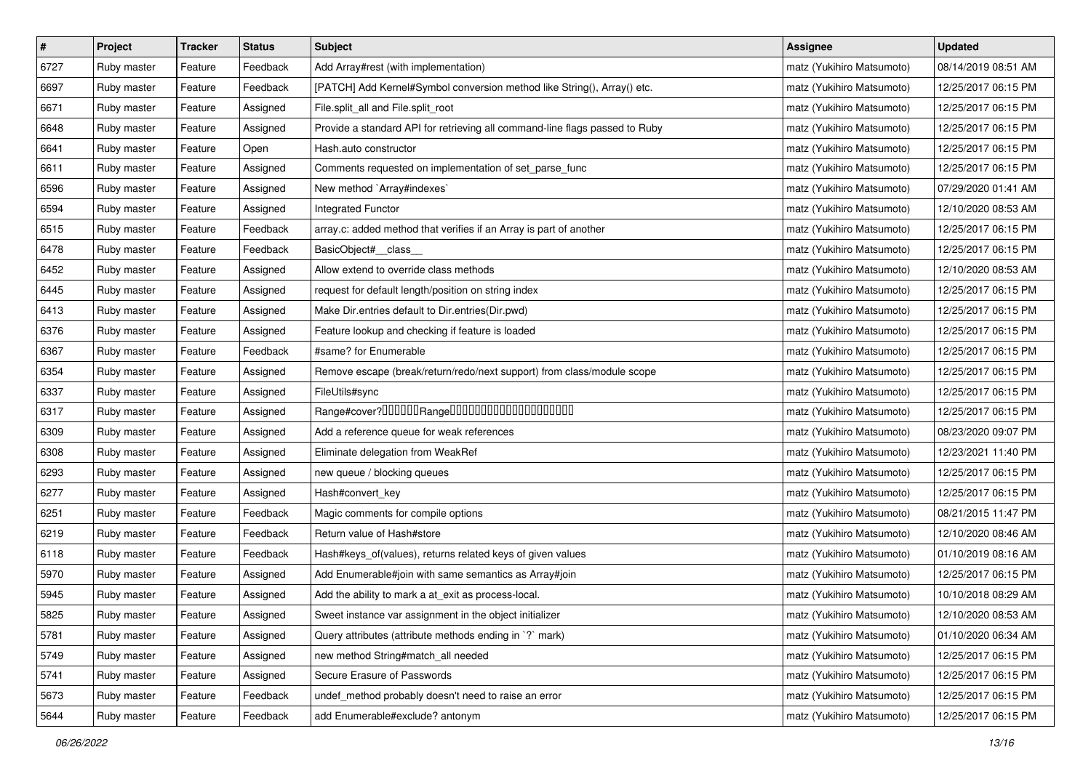| $\#$ | Project     | <b>Tracker</b> | <b>Status</b> | <b>Subject</b>                                                              | <b>Assignee</b>           | <b>Updated</b>      |
|------|-------------|----------------|---------------|-----------------------------------------------------------------------------|---------------------------|---------------------|
| 6727 | Ruby master | Feature        | Feedback      | Add Array#rest (with implementation)                                        | matz (Yukihiro Matsumoto) | 08/14/2019 08:51 AM |
| 6697 | Ruby master | Feature        | Feedback      | [PATCH] Add Kernel#Symbol conversion method like String(), Array() etc.     | matz (Yukihiro Matsumoto) | 12/25/2017 06:15 PM |
| 6671 | Ruby master | Feature        | Assigned      | File.split_all and File.split_root                                          | matz (Yukihiro Matsumoto) | 12/25/2017 06:15 PM |
| 6648 | Ruby master | Feature        | Assigned      | Provide a standard API for retrieving all command-line flags passed to Ruby | matz (Yukihiro Matsumoto) | 12/25/2017 06:15 PM |
| 6641 | Ruby master | Feature        | Open          | Hash.auto constructor                                                       | matz (Yukihiro Matsumoto) | 12/25/2017 06:15 PM |
| 6611 | Ruby master | Feature        | Assigned      | Comments requested on implementation of set_parse_func                      | matz (Yukihiro Matsumoto) | 12/25/2017 06:15 PM |
| 6596 | Ruby master | Feature        | Assigned      | New method `Array#indexes`                                                  | matz (Yukihiro Matsumoto) | 07/29/2020 01:41 AM |
| 6594 | Ruby master | Feature        | Assigned      | Integrated Functor                                                          | matz (Yukihiro Matsumoto) | 12/10/2020 08:53 AM |
| 6515 | Ruby master | Feature        | Feedback      | array.c: added method that verifies if an Array is part of another          | matz (Yukihiro Matsumoto) | 12/25/2017 06:15 PM |
| 6478 | Ruby master | Feature        | Feedback      | BasicObject#_class_                                                         | matz (Yukihiro Matsumoto) | 12/25/2017 06:15 PM |
| 6452 | Ruby master | Feature        | Assigned      | Allow extend to override class methods                                      | matz (Yukihiro Matsumoto) | 12/10/2020 08:53 AM |
| 6445 | Ruby master | Feature        | Assigned      | request for default length/position on string index                         | matz (Yukihiro Matsumoto) | 12/25/2017 06:15 PM |
| 6413 | Ruby master | Feature        | Assigned      | Make Dir.entries default to Dir.entries(Dir.pwd)                            | matz (Yukihiro Matsumoto) | 12/25/2017 06:15 PM |
| 6376 | Ruby master | Feature        | Assigned      | Feature lookup and checking if feature is loaded                            | matz (Yukihiro Matsumoto) | 12/25/2017 06:15 PM |
| 6367 | Ruby master | Feature        | Feedback      | #same? for Enumerable                                                       | matz (Yukihiro Matsumoto) | 12/25/2017 06:15 PM |
| 6354 | Ruby master | Feature        | Assigned      | Remove escape (break/return/redo/next support) from class/module scope      | matz (Yukihiro Matsumoto) | 12/25/2017 06:15 PM |
| 6337 | Ruby master | Feature        | Assigned      | FileUtils#sync                                                              | matz (Yukihiro Matsumoto) | 12/25/2017 06:15 PM |
| 6317 | Ruby master | Feature        | Assigned      |                                                                             | matz (Yukihiro Matsumoto) | 12/25/2017 06:15 PM |
| 6309 | Ruby master | Feature        | Assigned      | Add a reference queue for weak references                                   | matz (Yukihiro Matsumoto) | 08/23/2020 09:07 PM |
| 6308 | Ruby master | Feature        | Assigned      | Eliminate delegation from WeakRef                                           | matz (Yukihiro Matsumoto) | 12/23/2021 11:40 PM |
| 6293 | Ruby master | Feature        | Assigned      | new queue / blocking queues                                                 | matz (Yukihiro Matsumoto) | 12/25/2017 06:15 PM |
| 6277 | Ruby master | Feature        | Assigned      | Hash#convert_key                                                            | matz (Yukihiro Matsumoto) | 12/25/2017 06:15 PM |
| 6251 | Ruby master | Feature        | Feedback      | Magic comments for compile options                                          | matz (Yukihiro Matsumoto) | 08/21/2015 11:47 PM |
| 6219 | Ruby master | Feature        | Feedback      | Return value of Hash#store                                                  | matz (Yukihiro Matsumoto) | 12/10/2020 08:46 AM |
| 6118 | Ruby master | Feature        | Feedback      | Hash#keys_of(values), returns related keys of given values                  | matz (Yukihiro Matsumoto) | 01/10/2019 08:16 AM |
| 5970 | Ruby master | Feature        | Assigned      | Add Enumerable#join with same semantics as Array#join                       | matz (Yukihiro Matsumoto) | 12/25/2017 06:15 PM |
| 5945 | Ruby master | Feature        | Assigned      | Add the ability to mark a at_exit as process-local.                         | matz (Yukihiro Matsumoto) | 10/10/2018 08:29 AM |
| 5825 | Ruby master | Feature        | Assigned      | Sweet instance var assignment in the object initializer                     | matz (Yukihiro Matsumoto) | 12/10/2020 08:53 AM |
| 5781 | Ruby master | Feature        | Assigned      | Query attributes (attribute methods ending in `?` mark)                     | matz (Yukihiro Matsumoto) | 01/10/2020 06:34 AM |
| 5749 | Ruby master | Feature        | Assigned      | new method String#match_all needed                                          | matz (Yukihiro Matsumoto) | 12/25/2017 06:15 PM |
| 5741 | Ruby master | Feature        | Assigned      | Secure Erasure of Passwords                                                 | matz (Yukihiro Matsumoto) | 12/25/2017 06:15 PM |
| 5673 | Ruby master | Feature        | Feedback      | undef_method probably doesn't need to raise an error                        | matz (Yukihiro Matsumoto) | 12/25/2017 06:15 PM |
| 5644 | Ruby master | Feature        | Feedback      | add Enumerable#exclude? antonym                                             | matz (Yukihiro Matsumoto) | 12/25/2017 06:15 PM |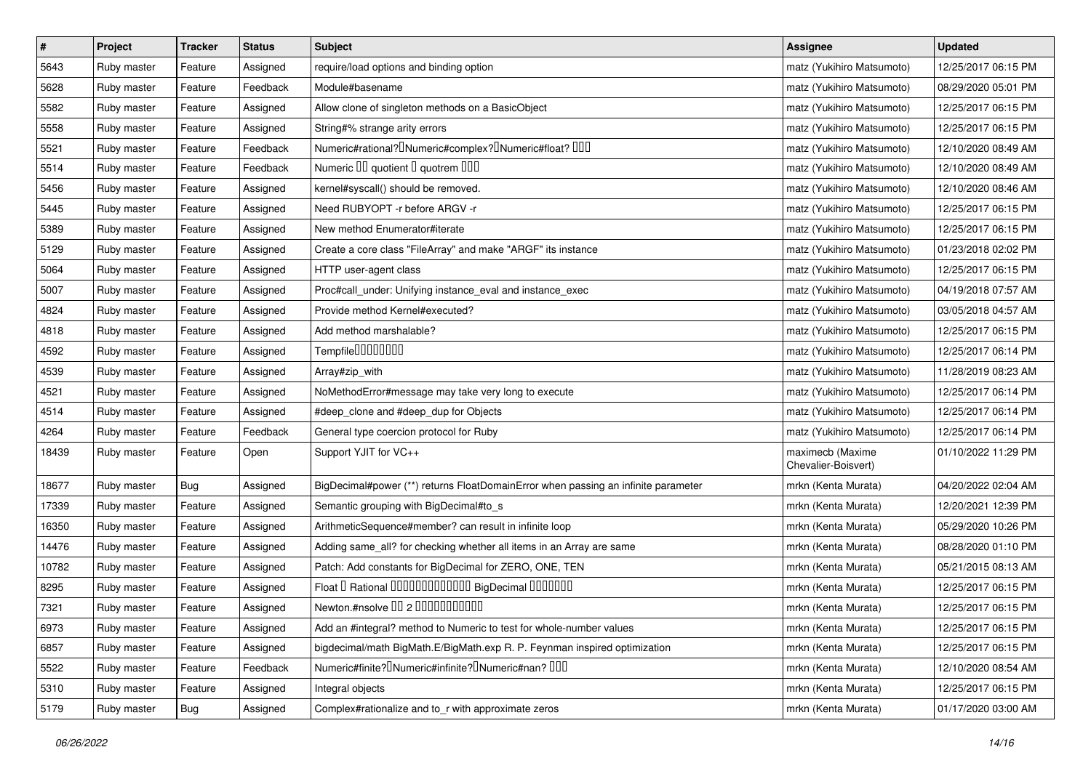| $\vert$ # | Project     | <b>Tracker</b> | <b>Status</b> | <b>Subject</b>                                                                                | <b>Assignee</b>                         | <b>Updated</b>      |
|-----------|-------------|----------------|---------------|-----------------------------------------------------------------------------------------------|-----------------------------------------|---------------------|
| 5643      | Ruby master | Feature        | Assigned      | require/load options and binding option                                                       | matz (Yukihiro Matsumoto)               | 12/25/2017 06:15 PM |
| 5628      | Ruby master | Feature        | Feedback      | Module#basename                                                                               | matz (Yukihiro Matsumoto)               | 08/29/2020 05:01 PM |
| 5582      | Ruby master | Feature        | Assigned      | Allow clone of singleton methods on a BasicObject                                             | matz (Yukihiro Matsumoto)               | 12/25/2017 06:15 PM |
| 5558      | Ruby master | Feature        | Assigned      | String#% strange arity errors                                                                 | matz (Yukihiro Matsumoto)               | 12/25/2017 06:15 PM |
| 5521      | Ruby master | Feature        | Feedback      | Numeric#rational? <sup>[]</sup> Numeric#complex? <sup>[]</sup> Numeric#float? <sup>[10]</sup> | matz (Yukihiro Matsumoto)               | 12/10/2020 08:49 AM |
| 5514      | Ruby master | Feature        | Feedback      | Numeric III quotient I quotrem IIII                                                           | matz (Yukihiro Matsumoto)               | 12/10/2020 08:49 AM |
| 5456      | Ruby master | Feature        | Assigned      | kernel#syscall() should be removed.                                                           | matz (Yukihiro Matsumoto)               | 12/10/2020 08:46 AM |
| 5445      | Ruby master | Feature        | Assigned      | Need RUBYOPT - r before ARGV - r                                                              | matz (Yukihiro Matsumoto)               | 12/25/2017 06:15 PM |
| 5389      | Ruby master | Feature        | Assigned      | New method Enumerator#iterate                                                                 | matz (Yukihiro Matsumoto)               | 12/25/2017 06:15 PM |
| 5129      | Ruby master | Feature        | Assigned      | Create a core class "FileArray" and make "ARGF" its instance                                  | matz (Yukihiro Matsumoto)               | 01/23/2018 02:02 PM |
| 5064      | Ruby master | Feature        | Assigned      | HTTP user-agent class                                                                         | matz (Yukihiro Matsumoto)               | 12/25/2017 06:15 PM |
| 5007      | Ruby master | Feature        | Assigned      | Proc#call_under: Unifying instance_eval and instance_exec                                     | matz (Yukihiro Matsumoto)               | 04/19/2018 07:57 AM |
| 4824      | Ruby master | Feature        | Assigned      | Provide method Kernel#executed?                                                               | matz (Yukihiro Matsumoto)               | 03/05/2018 04:57 AM |
| 4818      | Ruby master | Feature        | Assigned      | Add method marshalable?                                                                       | matz (Yukihiro Matsumoto)               | 12/25/2017 06:15 PM |
| 4592      | Ruby master | Feature        | Assigned      | Tempfile <sup>[1010101011]</sup>                                                              | matz (Yukihiro Matsumoto)               | 12/25/2017 06:14 PM |
| 4539      | Ruby master | Feature        | Assigned      | Array#zip_with                                                                                | matz (Yukihiro Matsumoto)               | 11/28/2019 08:23 AM |
| 4521      | Ruby master | Feature        | Assigned      | NoMethodError#message may take very long to execute                                           | matz (Yukihiro Matsumoto)               | 12/25/2017 06:14 PM |
| 4514      | Ruby master | Feature        | Assigned      | #deep_clone and #deep_dup for Objects                                                         | matz (Yukihiro Matsumoto)               | 12/25/2017 06:14 PM |
| 4264      | Ruby master | Feature        | Feedback      | General type coercion protocol for Ruby                                                       | matz (Yukihiro Matsumoto)               | 12/25/2017 06:14 PM |
| 18439     | Ruby master | Feature        | Open          | Support YJIT for VC++                                                                         | maximecb (Maxime<br>Chevalier-Boisvert) | 01/10/2022 11:29 PM |
| 18677     | Ruby master | Bug            | Assigned      | BigDecimal#power (**) returns FloatDomainError when passing an infinite parameter             | mrkn (Kenta Murata)                     | 04/20/2022 02:04 AM |
| 17339     | Ruby master | Feature        | Assigned      | Semantic grouping with BigDecimal#to_s                                                        | mrkn (Kenta Murata)                     | 12/20/2021 12:39 PM |
| 16350     | Ruby master | Feature        | Assigned      | ArithmeticSequence#member? can result in infinite loop                                        | mrkn (Kenta Murata)                     | 05/29/2020 10:26 PM |
| 14476     | Ruby master | Feature        | Assigned      | Adding same_all? for checking whether all items in an Array are same                          | mrkn (Kenta Murata)                     | 08/28/2020 01:10 PM |
| 10782     | Ruby master | Feature        | Assigned      | Patch: Add constants for BigDecimal for ZERO, ONE, TEN                                        | mrkn (Kenta Murata)                     | 05/21/2015 08:13 AM |
| 8295      | Ruby master | Feature        | Assigned      | Float I Rational IIIIIIIIIIIIIIIIIIII BigDecimal IIIIIIIIII                                   | mrkn (Kenta Murata)                     | 12/25/2017 06:15 PM |
| 7321      | Ruby master | Feature        | Assigned      | Newton.#nsolve 00 2 0000000000                                                                | mrkn (Kenta Murata)                     | 12/25/2017 06:15 PM |
| 6973      | Ruby master | Feature        | Assigned      | Add an #integral? method to Numeric to test for whole-number values                           | mrkn (Kenta Murata)                     | 12/25/2017 06:15 PM |
| 6857      | Ruby master | Feature        | Assigned      | bigdecimal/math BigMath.E/BigMath.exp R. P. Feynman inspired optimization                     | mrkn (Kenta Murata)                     | 12/25/2017 06:15 PM |
| 5522      | Ruby master | Feature        | Feedback      | Numeric#finite? Numeric#infinite? Numeric#nan? 000                                            | mrkn (Kenta Murata)                     | 12/10/2020 08:54 AM |
| 5310      | Ruby master | Feature        | Assigned      | Integral objects                                                                              | mrkn (Kenta Murata)                     | 12/25/2017 06:15 PM |
| 5179      | Ruby master | <b>Bug</b>     | Assigned      | Complex#rationalize and to_r with approximate zeros                                           | mrkn (Kenta Murata)                     | 01/17/2020 03:00 AM |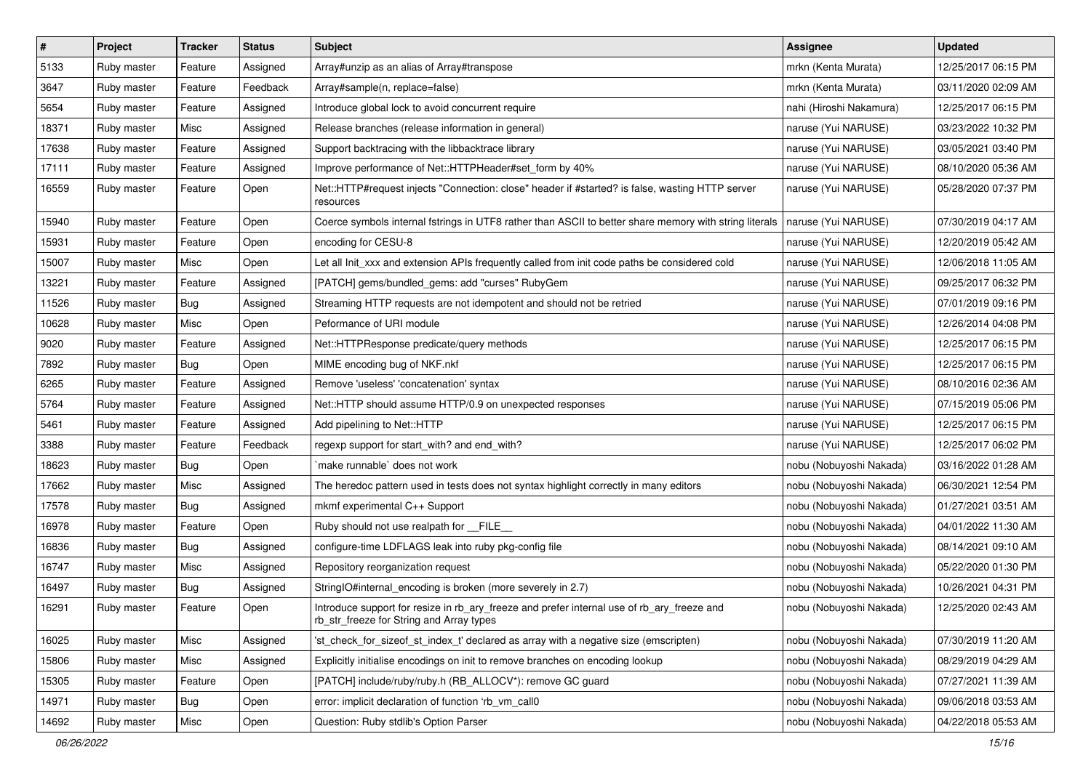| $\pmb{\#}$ | Project     | <b>Tracker</b> | <b>Status</b> | Subject                                                                                                                                | <b>Assignee</b>         | <b>Updated</b>      |
|------------|-------------|----------------|---------------|----------------------------------------------------------------------------------------------------------------------------------------|-------------------------|---------------------|
| 5133       | Ruby master | Feature        | Assigned      | Array#unzip as an alias of Array#transpose                                                                                             | mrkn (Kenta Murata)     | 12/25/2017 06:15 PM |
| 3647       | Ruby master | Feature        | Feedback      | Array#sample(n, replace=false)                                                                                                         | mrkn (Kenta Murata)     | 03/11/2020 02:09 AM |
| 5654       | Ruby master | Feature        | Assigned      | Introduce global lock to avoid concurrent require                                                                                      | nahi (Hiroshi Nakamura) | 12/25/2017 06:15 PM |
| 18371      | Ruby master | Misc           | Assigned      | Release branches (release information in general)                                                                                      | naruse (Yui NARUSE)     | 03/23/2022 10:32 PM |
| 17638      | Ruby master | Feature        | Assigned      | Support backtracing with the libbacktrace library                                                                                      | naruse (Yui NARUSE)     | 03/05/2021 03:40 PM |
| 17111      | Ruby master | Feature        | Assigned      | Improve performance of Net::HTTPHeader#set_form by 40%                                                                                 | naruse (Yui NARUSE)     | 08/10/2020 05:36 AM |
| 16559      | Ruby master | Feature        | Open          | Net::HTTP#request injects "Connection: close" header if #started? is false, wasting HTTP server<br>resources                           | naruse (Yui NARUSE)     | 05/28/2020 07:37 PM |
| 15940      | Ruby master | Feature        | Open          | Coerce symbols internal fstrings in UTF8 rather than ASCII to better share memory with string literals                                 | naruse (Yui NARUSE)     | 07/30/2019 04:17 AM |
| 15931      | Ruby master | Feature        | Open          | encoding for CESU-8                                                                                                                    | naruse (Yui NARUSE)     | 12/20/2019 05:42 AM |
| 15007      | Ruby master | Misc           | Open          | Let all Init_xxx and extension APIs frequently called from init code paths be considered cold                                          | naruse (Yui NARUSE)     | 12/06/2018 11:05 AM |
| 13221      | Ruby master | Feature        | Assigned      | [PATCH] gems/bundled_gems: add "curses" RubyGem                                                                                        | naruse (Yui NARUSE)     | 09/25/2017 06:32 PM |
| 11526      | Ruby master | Bug            | Assigned      | Streaming HTTP requests are not idempotent and should not be retried                                                                   | naruse (Yui NARUSE)     | 07/01/2019 09:16 PM |
| 10628      | Ruby master | Misc           | Open          | Peformance of URI module                                                                                                               | naruse (Yui NARUSE)     | 12/26/2014 04:08 PM |
| 9020       | Ruby master | Feature        | Assigned      | Net::HTTPResponse predicate/query methods                                                                                              | naruse (Yui NARUSE)     | 12/25/2017 06:15 PM |
| 7892       | Ruby master | Bug            | Open          | MIME encoding bug of NKF.nkf                                                                                                           | naruse (Yui NARUSE)     | 12/25/2017 06:15 PM |
| 6265       | Ruby master | Feature        | Assigned      | Remove 'useless' 'concatenation' syntax                                                                                                | naruse (Yui NARUSE)     | 08/10/2016 02:36 AM |
| 5764       | Ruby master | Feature        | Assigned      | Net::HTTP should assume HTTP/0.9 on unexpected responses                                                                               | naruse (Yui NARUSE)     | 07/15/2019 05:06 PM |
| 5461       | Ruby master | Feature        | Assigned      | Add pipelining to Net::HTTP                                                                                                            | naruse (Yui NARUSE)     | 12/25/2017 06:15 PM |
| 3388       | Ruby master | Feature        | Feedback      | regexp support for start_with? and end_with?                                                                                           | naruse (Yui NARUSE)     | 12/25/2017 06:02 PM |
| 18623      | Ruby master | Bug            | Open          | make runnable' does not work                                                                                                           | nobu (Nobuyoshi Nakada) | 03/16/2022 01:28 AM |
| 17662      | Ruby master | Misc           | Assigned      | The heredoc pattern used in tests does not syntax highlight correctly in many editors                                                  | nobu (Nobuyoshi Nakada) | 06/30/2021 12:54 PM |
| 17578      | Ruby master | <b>Bug</b>     | Assigned      | mkmf experimental C++ Support                                                                                                          | nobu (Nobuyoshi Nakada) | 01/27/2021 03:51 AM |
| 16978      | Ruby master | Feature        | Open          | Ruby should not use realpath for FILE                                                                                                  | nobu (Nobuyoshi Nakada) | 04/01/2022 11:30 AM |
| 16836      | Ruby master | Bug            | Assigned      | configure-time LDFLAGS leak into ruby pkg-config file                                                                                  | nobu (Nobuyoshi Nakada) | 08/14/2021 09:10 AM |
| 16747      | Ruby master | Misc           | Assigned      | Repository reorganization request                                                                                                      | nobu (Nobuyoshi Nakada) | 05/22/2020 01:30 PM |
| 16497      | Ruby master | <b>Bug</b>     | Assigned      | StringIO#internal_encoding is broken (more severely in 2.7)                                                                            | nobu (Nobuyoshi Nakada) | 10/26/2021 04:31 PM |
| 16291      | Ruby master | Feature        | Open          | Introduce support for resize in rb_ary_freeze and prefer internal use of rb_ary_freeze and<br>rb_str_freeze for String and Array types | nobu (Nobuyoshi Nakada) | 12/25/2020 02:43 AM |
| 16025      | Ruby master | Misc           | Assigned      | 'st_check_for_sizeof_st_index_t' declared as array with a negative size (emscripten)                                                   | nobu (Nobuyoshi Nakada) | 07/30/2019 11:20 AM |
| 15806      | Ruby master | Misc           | Assigned      | Explicitly initialise encodings on init to remove branches on encoding lookup                                                          | nobu (Nobuyoshi Nakada) | 08/29/2019 04:29 AM |
| 15305      | Ruby master | Feature        | Open          | [PATCH] include/ruby/ruby.h (RB_ALLOCV*): remove GC guard                                                                              | nobu (Nobuyoshi Nakada) | 07/27/2021 11:39 AM |
| 14971      | Ruby master | <b>Bug</b>     | Open          | error: implicit declaration of function 'rb_vm_call0                                                                                   | nobu (Nobuyoshi Nakada) | 09/06/2018 03:53 AM |
| 14692      | Ruby master | Misc           | Open          | Question: Ruby stdlib's Option Parser                                                                                                  | nobu (Nobuyoshi Nakada) | 04/22/2018 05:53 AM |